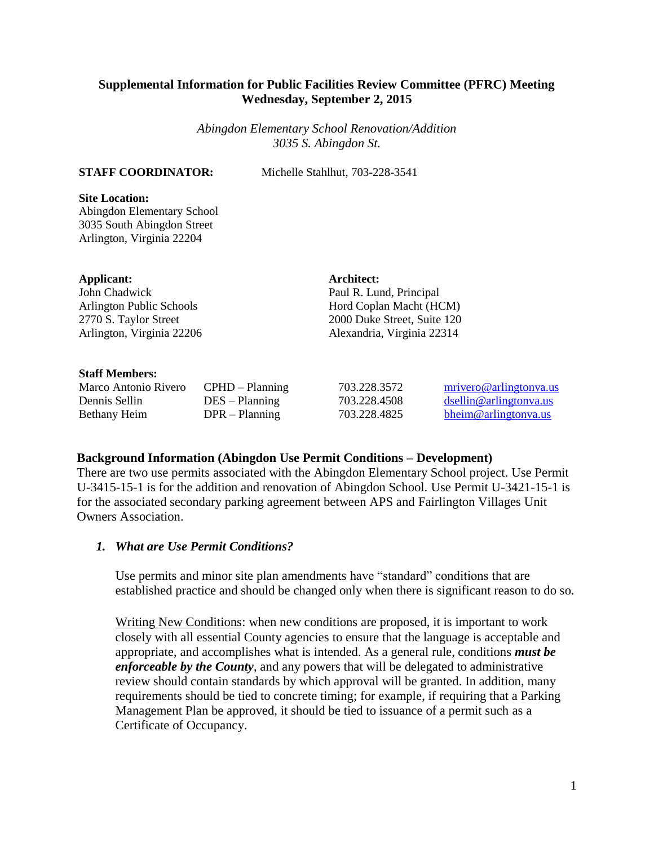# **Supplemental Information for Public Facilities Review Committee (PFRC) Meeting Wednesday, September 2, 2015**

*Abingdon Elementary School Renovation/Addition 3035 S. Abingdon St.*

**STAFF COORDINATOR:** Michelle Stahlhut, 703-228-3541

# **Site Location:**

Abingdon Elementary School 3035 South Abingdon Street Arlington, Virginia 22204

# **Applicant:**

John Chadwick Arlington Public Schools 2770 S. Taylor Street Arlington, Virginia 22206

# **Architect:**

Paul R. Lund, Principal Hord Coplan Macht (HCM) 2000 Duke Street, Suite 120 Alexandria, Virginia 22314

# **Staff Members:**

| Marco Antonio Rivero | $CPHD - Planning$ | 703.228.3572 | mrivero@arlingtonya.u  |
|----------------------|-------------------|--------------|------------------------|
| Dennis Sellin        | $DES - Planning$  | 703.228.4508 | dsellin@arlingtonya.us |
| Bethany Heim         | $DPR - Planning$  | 703.228.4825 | bheim@arlingtonya.us   |

# **Background Information (Abingdon Use Permit Conditions – Development)**

There are two use permits associated with the Abingdon Elementary School project. Use Permit U-3415-15-1 is for the addition and renovation of Abingdon School. Use Permit U-3421-15-1 is for the associated secondary parking agreement between APS and Fairlington Villages Unit Owners Association.

# *1. What are Use Permit Conditions?*

Use permits and minor site plan amendments have "standard" conditions that are established practice and should be changed only when there is significant reason to do so.

Writing New Conditions: when new conditions are proposed, it is important to work closely with all essential County agencies to ensure that the language is acceptable and appropriate, and accomplishes what is intended. As a general rule, conditions *must be enforceable by the County*, and any powers that will be delegated to administrative review should contain standards by which approval will be granted. In addition, many requirements should be tied to concrete timing; for example, if requiring that a Parking Management Plan be approved, it should be tied to issuance of a permit such as a Certificate of Occupancy.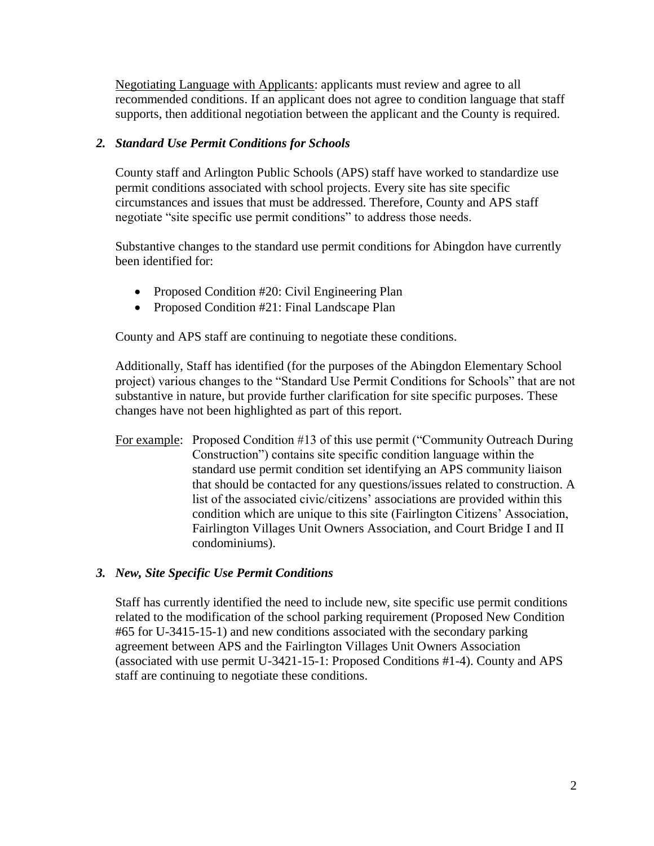Negotiating Language with Applicants: applicants must review and agree to all recommended conditions. If an applicant does not agree to condition language that staff supports, then additional negotiation between the applicant and the County is required.

# *2. Standard Use Permit Conditions for Schools*

County staff and Arlington Public Schools (APS) staff have worked to standardize use permit conditions associated with school projects. Every site has site specific circumstances and issues that must be addressed. Therefore, County and APS staff negotiate "site specific use permit conditions" to address those needs.

Substantive changes to the standard use permit conditions for Abingdon have currently been identified for:

- Proposed Condition #20: Civil Engineering Plan
- Proposed Condition #21: Final Landscape Plan

County and APS staff are continuing to negotiate these conditions.

Additionally, Staff has identified (for the purposes of the Abingdon Elementary School project) various changes to the "Standard Use Permit Conditions for Schools" that are not substantive in nature, but provide further clarification for site specific purposes. These changes have not been highlighted as part of this report.

For example: Proposed Condition #13 of this use permit ("Community Outreach During Construction") contains site specific condition language within the standard use permit condition set identifying an APS community liaison that should be contacted for any questions/issues related to construction. A list of the associated civic/citizens' associations are provided within this condition which are unique to this site (Fairlington Citizens' Association, Fairlington Villages Unit Owners Association, and Court Bridge I and II condominiums).

# *3. New, Site Specific Use Permit Conditions*

Staff has currently identified the need to include new, site specific use permit conditions related to the modification of the school parking requirement (Proposed New Condition #65 for U-3415-15-1) and new conditions associated with the secondary parking agreement between APS and the Fairlington Villages Unit Owners Association (associated with use permit U-3421-15-1: Proposed Conditions #1-4). County and APS staff are continuing to negotiate these conditions.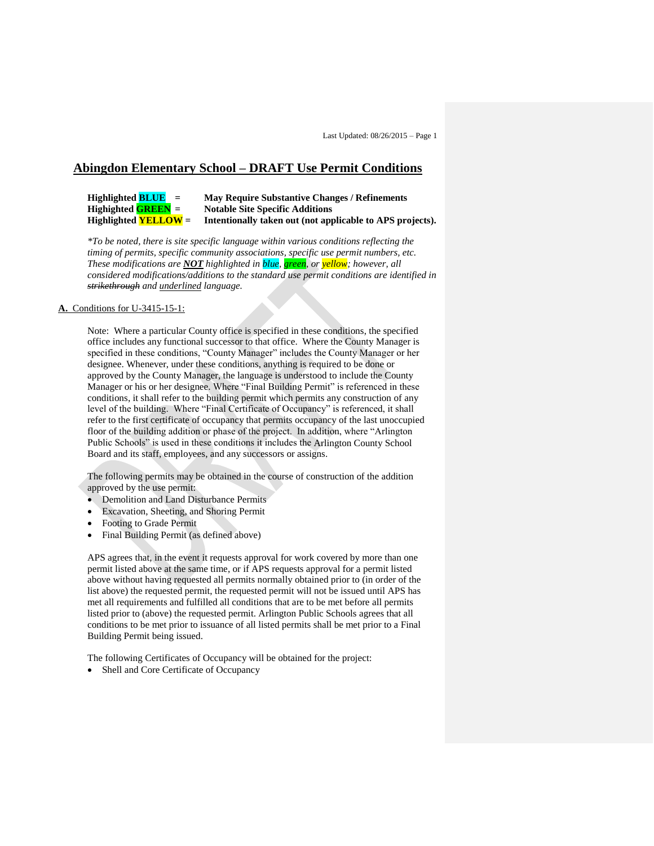# **Abingdon Elementary School – DRAFT Use Permit Conditions**

**Highlighted BLUE = May Require Substantive Changes / Refinements Notable Site Specific Additions Highlighted YELLOW = Intentionally taken out (not applicable to APS projects).** 

*\*To be noted, there is site specific language within various conditions reflecting the timing of permits, specific community associations, specific use permit numbers, etc. These modifications are NOT highlighted in blue, green, or yellow; however, all considered modifications/additions to the standard use permit conditions are identified in strikethrough and underlined language.* 

#### **A.** Conditions for U-3415-15-1:

Note: Where a particular County office is specified in these conditions, the specified office includes any functional successor to that office. Where the County Manager is specified in these conditions, "County Manager" includes the County Manager or her designee. Whenever, under these conditions, anything is required to be done or approved by the County Manager, the language is understood to include the County Manager or his or her designee. Where "Final Building Permit" is referenced in these conditions, it shall refer to the building permit which permits any construction of any level of the building. Where "Final Certificate of Occupancy" is referenced, it shall refer to the first certificate of occupancy that permits occupancy of the last unoccupied floor of the building addition or phase of the project. In addition, where "Arlington Public Schools" is used in these conditions it includes the Arlington County School Board and its staff, employees, and any successors or assigns.

The following permits may be obtained in the course of construction of the addition approved by the use permit:

- Demolition and Land Disturbance Permits
- Excavation, Sheeting, and Shoring Permit
- Footing to Grade Permit
- Final Building Permit (as defined above)

APS agrees that, in the event it requests approval for work covered by more than one permit listed above at the same time, or if APS requests approval for a permit listed above without having requested all permits normally obtained prior to (in order of the list above) the requested permit, the requested permit will not be issued until APS has met all requirements and fulfilled all conditions that are to be met before all permits listed prior to (above) the requested permit. Arlington Public Schools agrees that all conditions to be met prior to issuance of all listed permits shall be met prior to a Final Building Permit being issued.

The following Certificates of Occupancy will be obtained for the project:

Shell and Core Certificate of Occupancy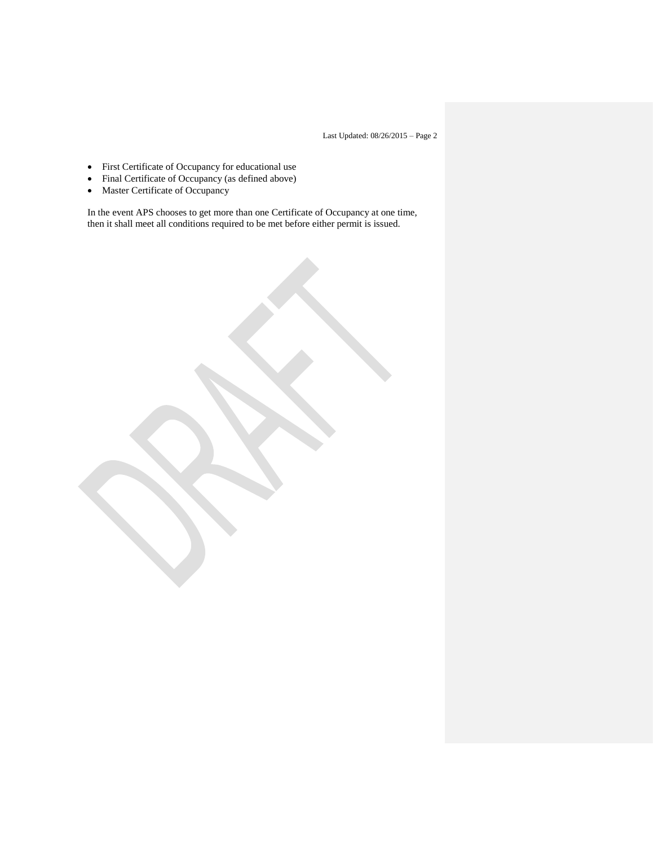- First Certificate of Occupancy for educational use
- Final Certificate of Occupancy (as defined above)
- Master Certificate of Occupancy

In the event APS chooses to get more than one Certificate of Occupancy at one time, then it shall meet all conditions required to be met before either permit is issued.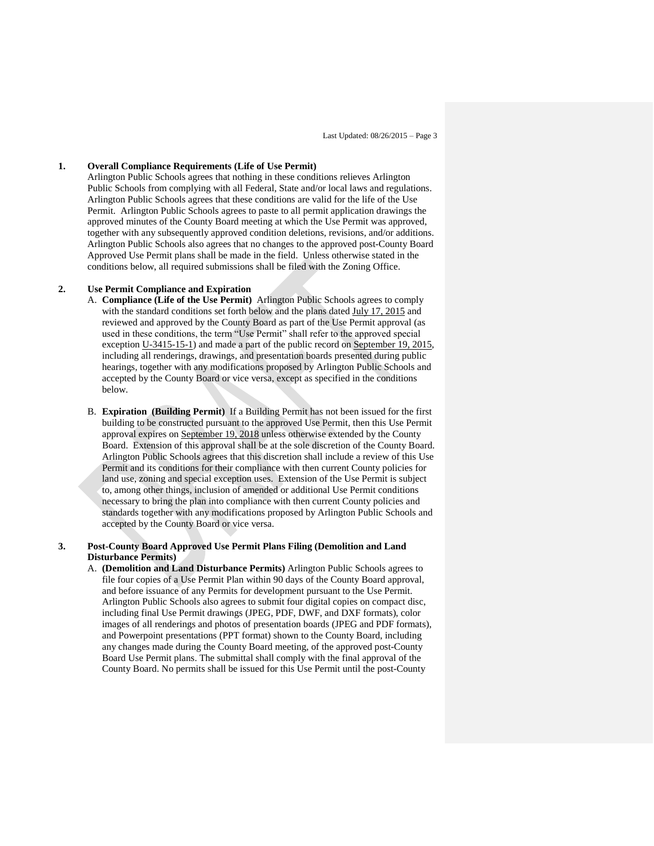#### **1. Overall Compliance Requirements (Life of Use Permit)**

Arlington Public Schools agrees that nothing in these conditions relieves Arlington Public Schools from complying with all Federal, State and/or local laws and regulations. Arlington Public Schools agrees that these conditions are valid for the life of the Use Permit. Arlington Public Schools agrees to paste to all permit application drawings the approved minutes of the County Board meeting at which the Use Permit was approved, together with any subsequently approved condition deletions, revisions, and/or additions. Arlington Public Schools also agrees that no changes to the approved post-County Board Approved Use Permit plans shall be made in the field. Unless otherwise stated in the conditions below, all required submissions shall be filed with the Zoning Office.

#### **2. Use Permit Compliance and Expiration**

- A. **Compliance (Life of the Use Permit)** Arlington Public Schools agrees to comply with the standard conditions set forth below and the plans dated July 17, 2015 and reviewed and approved by the County Board as part of the Use Permit approval (as used in these conditions, the term "Use Permit" shall refer to the approved special exception U-3415-15-1) and made a part of the public record on September 19, 2015, including all renderings, drawings, and presentation boards presented during public hearings, together with any modifications proposed by Arlington Public Schools and accepted by the County Board or vice versa, except as specified in the conditions below.
- B. **Expiration (Building Permit)** If a Building Permit has not been issued for the first building to be constructed pursuant to the approved Use Permit, then this Use Permit approval expires on September 19, 2018 unless otherwise extended by the County Board. Extension of this approval shall be at the sole discretion of the County Board. Arlington Public Schools agrees that this discretion shall include a review of this Use Permit and its conditions for their compliance with then current County policies for land use, zoning and special exception uses. Extension of the Use Permit is subject to, among other things, inclusion of amended or additional Use Permit conditions necessary to bring the plan into compliance with then current County policies and standards together with any modifications proposed by Arlington Public Schools and accepted by the County Board or vice versa.

#### **3. Post-County Board Approved Use Permit Plans Filing (Demolition and Land Disturbance Permits)**

A. **(Demolition and Land Disturbance Permits)** Arlington Public Schools agrees to file four copies of a Use Permit Plan within 90 days of the County Board approval, and before issuance of any Permits for development pursuant to the Use Permit. Arlington Public Schools also agrees to submit four digital copies on compact disc, including final Use Permit drawings (JPEG, PDF, DWF, and DXF formats), color images of all renderings and photos of presentation boards (JPEG and PDF formats), and Powerpoint presentations (PPT format) shown to the County Board, including any changes made during the County Board meeting, of the approved post-County Board Use Permit plans. The submittal shall comply with the final approval of the County Board. No permits shall be issued for this Use Permit until the post-County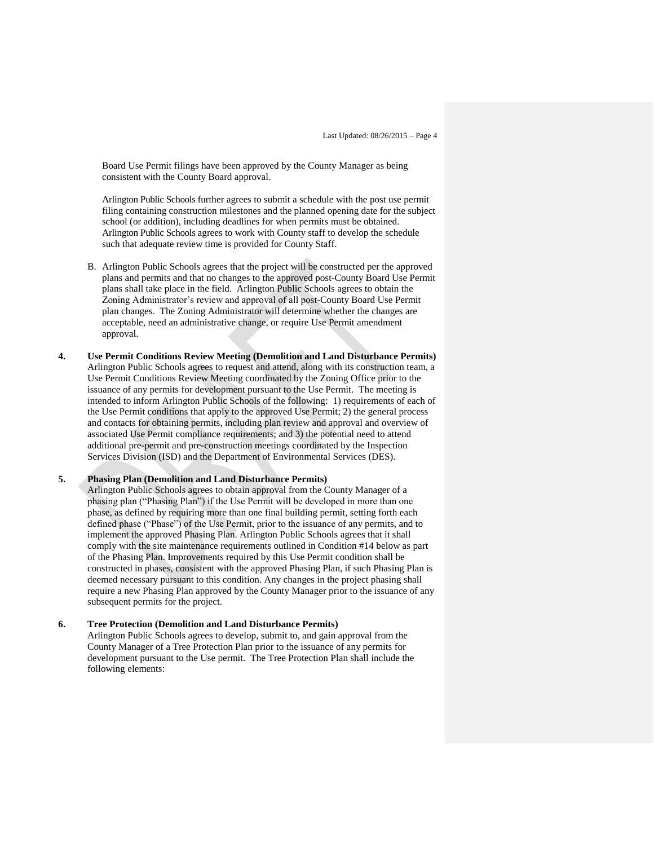Board Use Permit filings have been approved by the County Manager as being consistent with the County Board approval.

Arlington Public Schools further agrees to submit a schedule with the post use permit filing containing construction milestones and the planned opening date for the subject school (or addition), including deadlines for when permits must be obtained. Arlington Public Schools agrees to work with County staff to develop the schedule such that adequate review time is provided for County Staff.

- B. Arlington Public Schools agrees that the project will be constructed per the approved plans and permits and that no changes to the approved post-County Board Use Permit plans shall take place in the field. Arlington Public Schools agrees to obtain the Zoning Administrator's review and approval of all post-County Board Use Permit plan changes. The Zoning Administrator will determine whether the changes are acceptable, need an administrative change, or require Use Permit amendment approval.
- **4. Use Permit Conditions Review Meeting (Demolition and Land Disturbance Permits)** Arlington Public Schools agrees to request and attend, along with its construction team, a Use Permit Conditions Review Meeting coordinated by the Zoning Office prior to the issuance of any permits for development pursuant to the Use Permit. The meeting is intended to inform Arlington Public Schools of the following: 1) requirements of each of the Use Permit conditions that apply to the approved Use Permit; 2) the general process and contacts for obtaining permits, including plan review and approval and overview of associated Use Permit compliance requirements; and 3) the potential need to attend additional pre-permit and pre-construction meetings coordinated by the Inspection Services Division (ISD) and the Department of Environmental Services (DES).

#### **5. Phasing Plan (Demolition and Land Disturbance Permits)**

Arlington Public Schools agrees to obtain approval from the County Manager of a phasing plan ("Phasing Plan") if the Use Permit will be developed in more than one phase, as defined by requiring more than one final building permit, setting forth each defined phase ("Phase") of the Use Permit, prior to the issuance of any permits, and to implement the approved Phasing Plan. Arlington Public Schools agrees that it shall comply with the site maintenance requirements outlined in Condition #14 below as part of the Phasing Plan. Improvements required by this Use Permit condition shall be constructed in phases, consistent with the approved Phasing Plan, if such Phasing Plan is deemed necessary pursuant to this condition. Any changes in the project phasing shall require a new Phasing Plan approved by the County Manager prior to the issuance of any subsequent permits for the project.

#### **6. Tree Protection (Demolition and Land Disturbance Permits)**

Arlington Public Schools agrees to develop, submit to, and gain approval from the County Manager of a Tree Protection Plan prior to the issuance of any permits for development pursuant to the Use permit. The Tree Protection Plan shall include the following elements: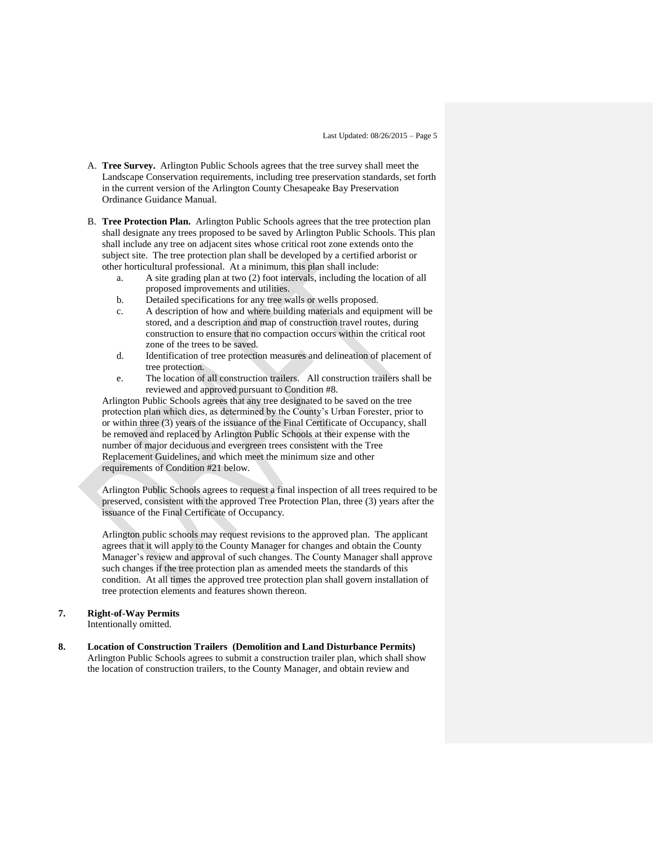- A. **Tree Survey.** Arlington Public Schools agrees that the tree survey shall meet the Landscape Conservation requirements, including tree preservation standards, set forth in the current version of the Arlington County Chesapeake Bay Preservation Ordinance Guidance Manual.
- B. **Tree Protection Plan.** Arlington Public Schools agrees that the tree protection plan shall designate any trees proposed to be saved by Arlington Public Schools. This plan shall include any tree on adjacent sites whose critical root zone extends onto the subject site. The tree protection plan shall be developed by a certified arborist or other horticultural professional. At a minimum, this plan shall include:
	- a. A site grading plan at two (2) foot intervals, including the location of all proposed improvements and utilities.
	- b. Detailed specifications for any tree walls or wells proposed.
	- c. A description of how and where building materials and equipment will be stored, and a description and map of construction travel routes, during construction to ensure that no compaction occurs within the critical root zone of the trees to be saved.
	- d. Identification of tree protection measures and delineation of placement of tree protection.
	- e. The location of all construction trailers. All construction trailers shall be reviewed and approved pursuant to Condition #8.

Arlington Public Schools agrees that any tree designated to be saved on the tree protection plan which dies, as determined by the County's Urban Forester, prior to or within three (3) years of the issuance of the Final Certificate of Occupancy, shall be removed and replaced by Arlington Public Schools at their expense with the number of major deciduous and evergreen trees consistent with the Tree Replacement Guidelines, and which meet the minimum size and other requirements of Condition #21 below.

Arlington Public Schools agrees to request a final inspection of all trees required to be preserved, consistent with the approved Tree Protection Plan, three (3) years after the issuance of the Final Certificate of Occupancy.

Arlington public schools may request revisions to the approved plan. The applicant agrees that it will apply to the County Manager for changes and obtain the County Manager's review and approval of such changes. The County Manager shall approve such changes if the tree protection plan as amended meets the standards of this condition. At all times the approved tree protection plan shall govern installation of tree protection elements and features shown thereon.

## **7. Right-of-Way Permits**

Intentionally omitted.

# **8. Location of Construction Trailers (Demolition and Land Disturbance Permits)**

Arlington Public Schools agrees to submit a construction trailer plan, which shall show the location of construction trailers, to the County Manager, and obtain review and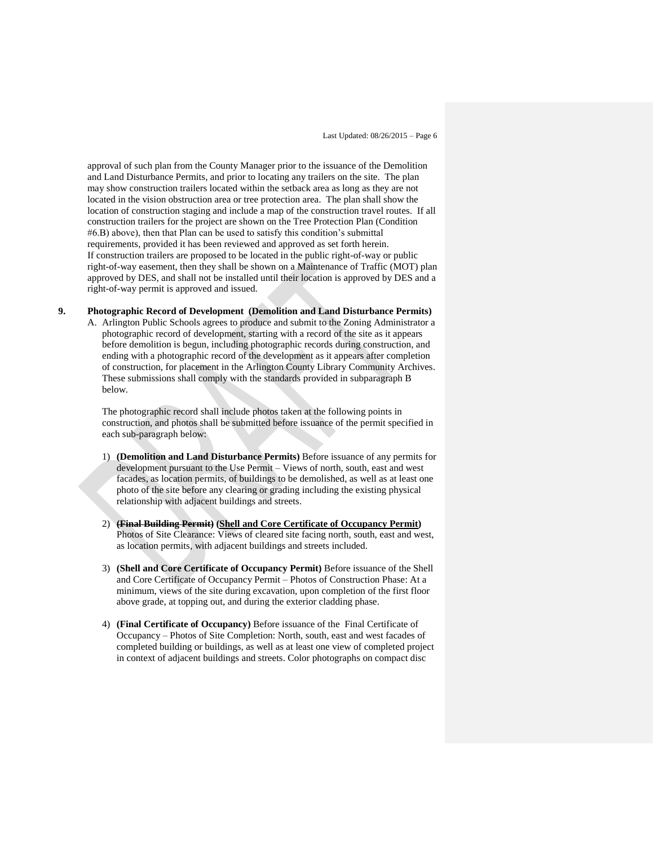approval of such plan from the County Manager prior to the issuance of the Demolition and Land Disturbance Permits, and prior to locating any trailers on the site. The plan may show construction trailers located within the setback area as long as they are not located in the vision obstruction area or tree protection area. The plan shall show the location of construction staging and include a map of the construction travel routes. If all construction trailers for the project are shown on the Tree Protection Plan (Condition #6.B) above), then that Plan can be used to satisfy this condition's submittal requirements, provided it has been reviewed and approved as set forth herein. If construction trailers are proposed to be located in the public right-of-way or public right-of-way easement, then they shall be shown on a Maintenance of Traffic (MOT) plan approved by DES, and shall not be installed until their location is approved by DES and a right-of-way permit is approved and issued.

## **9. Photographic Record of Development (Demolition and Land Disturbance Permits)**

A. Arlington Public Schools agrees to produce and submit to the Zoning Administrator a photographic record of development, starting with a record of the site as it appears before demolition is begun, including photographic records during construction, and ending with a photographic record of the development as it appears after completion of construction, for placement in the Arlington County Library Community Archives. These submissions shall comply with the standards provided in subparagraph B below.

The photographic record shall include photos taken at the following points in construction, and photos shall be submitted before issuance of the permit specified in each sub-paragraph below:

- 1) **(Demolition and Land Disturbance Permits)** Before issuance of any permits for development pursuant to the Use Permit – Views of north, south, east and west facades, as location permits, of buildings to be demolished, as well as at least one photo of the site before any clearing or grading including the existing physical relationship with adjacent buildings and streets.
- 2) **(Final Building Permit) (Shell and Core Certificate of Occupancy Permit)** Photos of Site Clearance: Views of cleared site facing north, south, east and west, as location permits, with adjacent buildings and streets included.
- 3) **(Shell and Core Certificate of Occupancy Permit)** Before issuance of the Shell and Core Certificate of Occupancy Permit – Photos of Construction Phase: At a minimum, views of the site during excavation, upon completion of the first floor above grade, at topping out, and during the exterior cladding phase.
- 4) **(Final Certificate of Occupancy)** Before issuance of the Final Certificate of Occupancy – Photos of Site Completion: North, south, east and west facades of completed building or buildings, as well as at least one view of completed project in context of adjacent buildings and streets. Color photographs on compact disc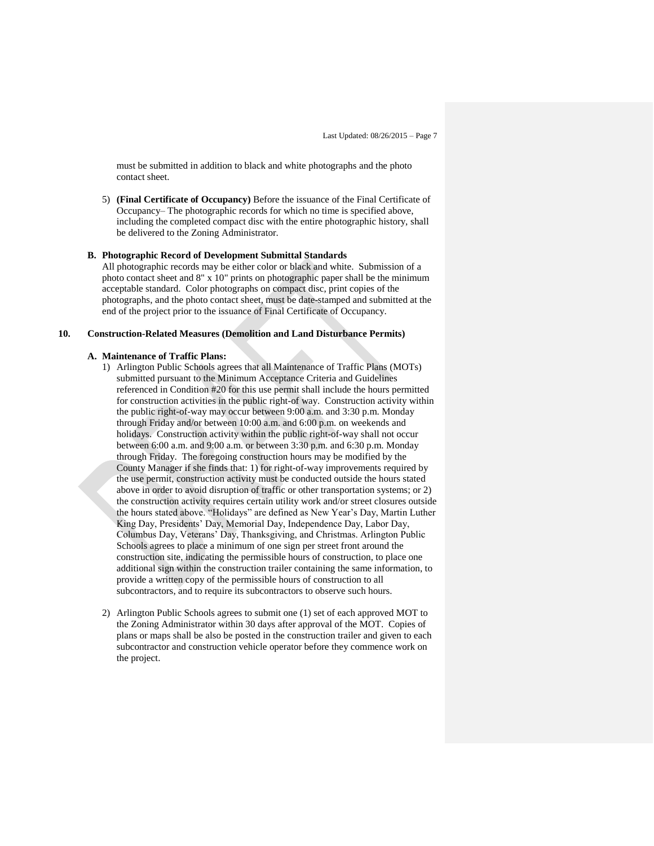must be submitted in addition to black and white photographs and the photo contact sheet.

5) **(Final Certificate of Occupancy)** Before the issuance of the Final Certificate of Occupancy– The photographic records for which no time is specified above, including the completed compact disc with the entire photographic history, shall be delivered to the Zoning Administrator.

#### **B. Photographic Record of Development Submittal Standards**

All photographic records may be either color or black and white. Submission of a photo contact sheet and 8" x 10" prints on photographic paper shall be the minimum acceptable standard. Color photographs on compact disc, print copies of the photographs, and the photo contact sheet, must be date-stamped and submitted at the end of the project prior to the issuance of Final Certificate of Occupancy.

#### **10. Construction-Related Measures (Demolition and Land Disturbance Permits)**

#### **A. Maintenance of Traffic Plans:**

- 1) Arlington Public Schools agrees that all Maintenance of Traffic Plans (MOTs) submitted pursuant to the Minimum Acceptance Criteria and Guidelines referenced in Condition #20 for this use permit shall include the hours permitted for construction activities in the public right-of way. Construction activity within the public right-of-way may occur between 9:00 a.m. and 3:30 p.m. Monday through Friday and/or between 10:00 a.m. and 6:00 p.m. on weekends and holidays. Construction activity within the public right-of-way shall not occur between 6:00 a.m. and 9:00 a.m. or between 3:30 p.m. and 6:30 p.m. Monday through Friday. The foregoing construction hours may be modified by the County Manager if she finds that: 1) for right-of-way improvements required by the use permit, construction activity must be conducted outside the hours stated above in order to avoid disruption of traffic or other transportation systems; or 2) the construction activity requires certain utility work and/or street closures outside the hours stated above. "Holidays" are defined as New Year's Day, Martin Luther King Day, Presidents' Day, Memorial Day, Independence Day, Labor Day, Columbus Day, Veterans' Day, Thanksgiving, and Christmas. Arlington Public Schools agrees to place a minimum of one sign per street front around the construction site, indicating the permissible hours of construction, to place one additional sign within the construction trailer containing the same information, to provide a written copy of the permissible hours of construction to all subcontractors, and to require its subcontractors to observe such hours.
- 2) Arlington Public Schools agrees to submit one (1) set of each approved MOT to the Zoning Administrator within 30 days after approval of the MOT. Copies of plans or maps shall be also be posted in the construction trailer and given to each subcontractor and construction vehicle operator before they commence work on the project.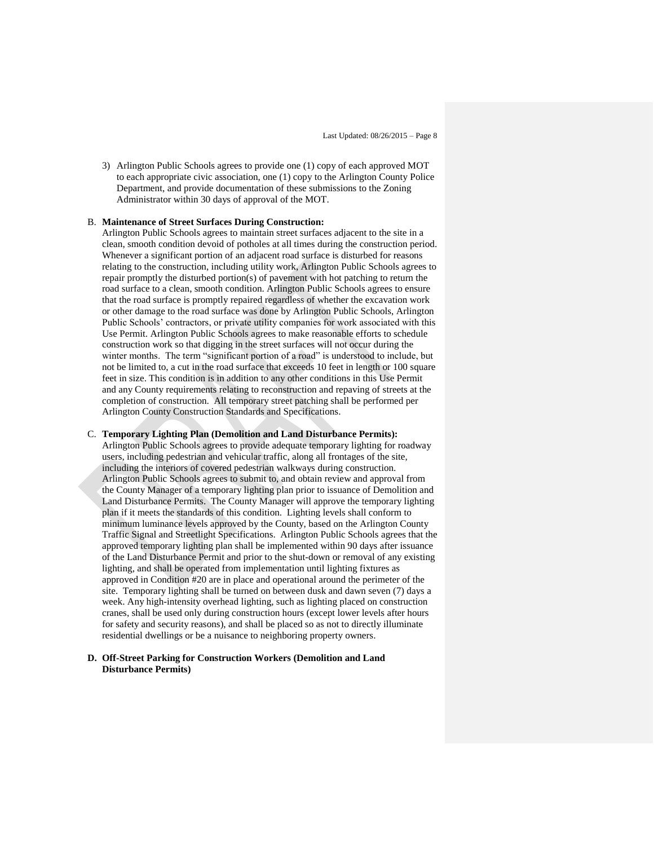3) Arlington Public Schools agrees to provide one (1) copy of each approved MOT to each appropriate civic association, one (1) copy to the Arlington County Police Department, and provide documentation of these submissions to the Zoning Administrator within 30 days of approval of the MOT.

#### B. **Maintenance of Street Surfaces During Construction:**

Arlington Public Schools agrees to maintain street surfaces adjacent to the site in a clean, smooth condition devoid of potholes at all times during the construction period. Whenever a significant portion of an adjacent road surface is disturbed for reasons relating to the construction, including utility work, Arlington Public Schools agrees to repair promptly the disturbed portion(s) of pavement with hot patching to return the road surface to a clean, smooth condition. Arlington Public Schools agrees to ensure that the road surface is promptly repaired regardless of whether the excavation work or other damage to the road surface was done by Arlington Public Schools, Arlington Public Schools' contractors, or private utility companies for work associated with this Use Permit. Arlington Public Schools agrees to make reasonable efforts to schedule construction work so that digging in the street surfaces will not occur during the winter months. The term "significant portion of a road" is understood to include, but not be limited to, a cut in the road surface that exceeds 10 feet in length or 100 square feet in size. This condition is in addition to any other conditions in this Use Permit and any County requirements relating to reconstruction and repaving of streets at the completion of construction. All temporary street patching shall be performed per Arlington County Construction Standards and Specifications.

#### C. **Temporary Lighting Plan (Demolition and Land Disturbance Permits):**

Arlington Public Schools agrees to provide adequate temporary lighting for roadway users, including pedestrian and vehicular traffic, along all frontages of the site, including the interiors of covered pedestrian walkways during construction. Arlington Public Schools agrees to submit to, and obtain review and approval from the County Manager of a temporary lighting plan prior to issuance of Demolition and Land Disturbance Permits. The County Manager will approve the temporary lighting plan if it meets the standards of this condition. Lighting levels shall conform to minimum luminance levels approved by the County, based on the Arlington County Traffic Signal and Streetlight Specifications. Arlington Public Schools agrees that the approved temporary lighting plan shall be implemented within 90 days after issuance of the Land Disturbance Permit and prior to the shut-down or removal of any existing lighting, and shall be operated from implementation until lighting fixtures as approved in Condition #20 are in place and operational around the perimeter of the site. Temporary lighting shall be turned on between dusk and dawn seven (7) days a week. Any high-intensity overhead lighting, such as lighting placed on construction cranes, shall be used only during construction hours (except lower levels after hours for safety and security reasons), and shall be placed so as not to directly illuminate residential dwellings or be a nuisance to neighboring property owners.

#### **D. Off-Street Parking for Construction Workers (Demolition and Land Disturbance Permits)**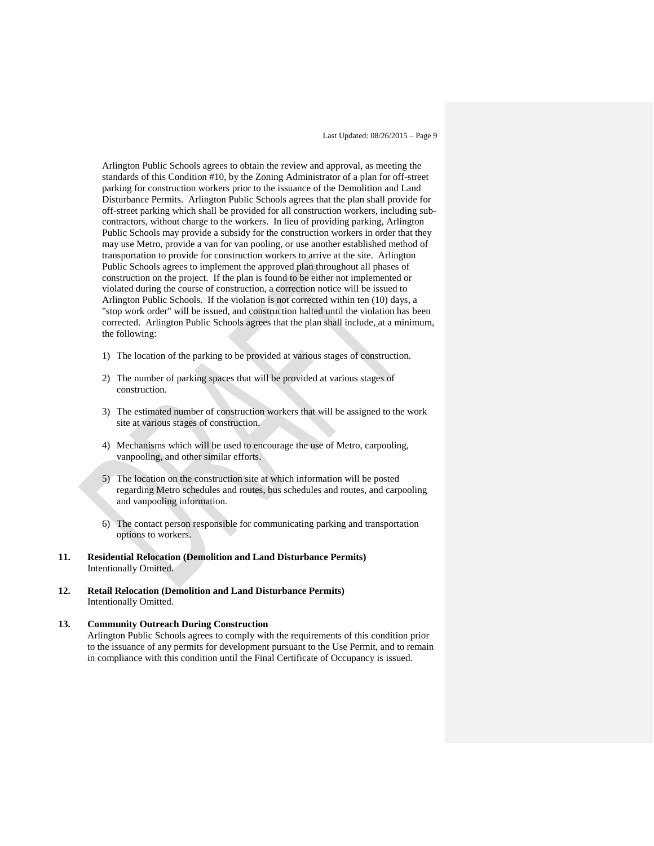Arlington Public Schools agrees to obtain the review and approval, as meeting the standards of this Condition #10, by the Zoning Administrator of a plan for off-street parking for construction workers prior to the issuance of the Demolition and Land Disturbance Permits. Arlington Public Schools agrees that the plan shall provide for off-street parking which shall be provided for all construction workers, including subcontractors, without charge to the workers. In lieu of providing parking, Arlington Public Schools may provide a subsidy for the construction workers in order that they may use Metro, provide a van for van pooling, or use another established method of transportation to provide for construction workers to arrive at the site. Arlington Public Schools agrees to implement the approved plan throughout all phases of construction on the project. If the plan is found to be either not implemented or violated during the course of construction, a correction notice will be issued to Arlington Public Schools. If the violation is not corrected within ten (10) days, a "stop work order" will be issued, and construction halted until the violation has been corrected. Arlington Public Schools agrees that the plan shall include, at a minimum, the following:

- 1) The location of the parking to be provided at various stages of construction.
- 2) The number of parking spaces that will be provided at various stages of construction.
- 3) The estimated number of construction workers that will be assigned to the work site at various stages of construction.
- 4) Mechanisms which will be used to encourage the use of Metro, carpooling, vanpooling, and other similar efforts.
- 5) The location on the construction site at which information will be posted regarding Metro schedules and routes, bus schedules and routes, and carpooling and vanpooling information.
- 6) The contact person responsible for communicating parking and transportation options to workers.
- **11. Residential Relocation (Demolition and Land Disturbance Permits)** Intentionally Omitted.
- **12. Retail Relocation (Demolition and Land Disturbance Permits)**  Intentionally Omitted.

# **13. Community Outreach During Construction**  Arlington Public Schools agrees to comply with the requirements of this condition prior to the issuance of any permits for development pursuant to the Use Permit, and to remain in compliance with this condition until the Final Certificate of Occupancy is issued.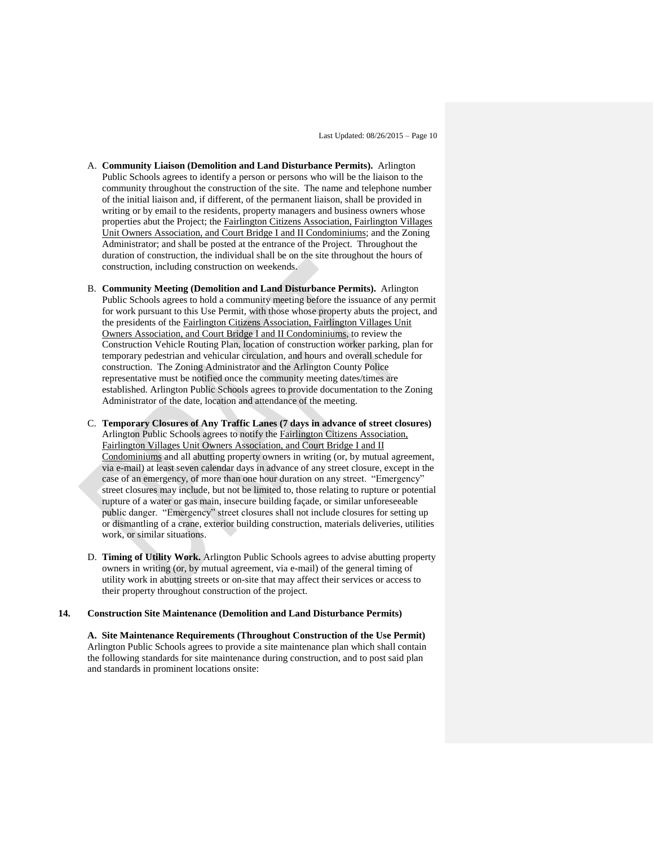- A. **Community Liaison (Demolition and Land Disturbance Permits).** Arlington Public Schools agrees to identify a person or persons who will be the liaison to the community throughout the construction of the site. The name and telephone number of the initial liaison and, if different, of the permanent liaison, shall be provided in writing or by email to the residents, property managers and business owners whose properties abut the Project; the Fairlington Citizens Association, Fairlington Villages Unit Owners Association, and Court Bridge I and II Condominiums; and the Zoning Administrator; and shall be posted at the entrance of the Project. Throughout the duration of construction, the individual shall be on the site throughout the hours of construction, including construction on weekends.
- B. **Community Meeting (Demolition and Land Disturbance Permits).** Arlington Public Schools agrees to hold a community meeting before the issuance of any permit for work pursuant to this Use Permit, with those whose property abuts the project, and the presidents of the Fairlington Citizens Association, Fairlington Villages Unit Owners Association, and Court Bridge I and II Condominiums, to review the Construction Vehicle Routing Plan, location of construction worker parking, plan for temporary pedestrian and vehicular circulation, and hours and overall schedule for construction. The Zoning Administrator and the Arlington County Police representative must be notified once the community meeting dates/times are established. Arlington Public Schools agrees to provide documentation to the Zoning Administrator of the date, location and attendance of the meeting.
- C. **Temporary Closures of Any Traffic Lanes (7 days in advance of street closures)**  Arlington Public Schools agrees to notify the Fairlington Citizens Association, Fairlington Villages Unit Owners Association, and Court Bridge I and II Condominiums and all abutting property owners in writing (or, by mutual agreement, via e-mail) at least seven calendar days in advance of any street closure, except in the case of an emergency, of more than one hour duration on any street. "Emergency" street closures may include, but not be limited to, those relating to rupture or potential rupture of a water or gas main, insecure building façade, or similar unforeseeable public danger. "Emergency" street closures shall not include closures for setting up or dismantling of a crane, exterior building construction, materials deliveries, utilities work, or similar situations.
- D. **Timing of Utility Work.** Arlington Public Schools agrees to advise abutting property owners in writing (or, by mutual agreement, via e-mail) of the general timing of utility work in abutting streets or on-site that may affect their services or access to their property throughout construction of the project.

#### **14. Construction Site Maintenance (Demolition and Land Disturbance Permits)**

**A. Site Maintenance Requirements (Throughout Construction of the Use Permit)** Arlington Public Schools agrees to provide a site maintenance plan which shall contain the following standards for site maintenance during construction, and to post said plan and standards in prominent locations onsite: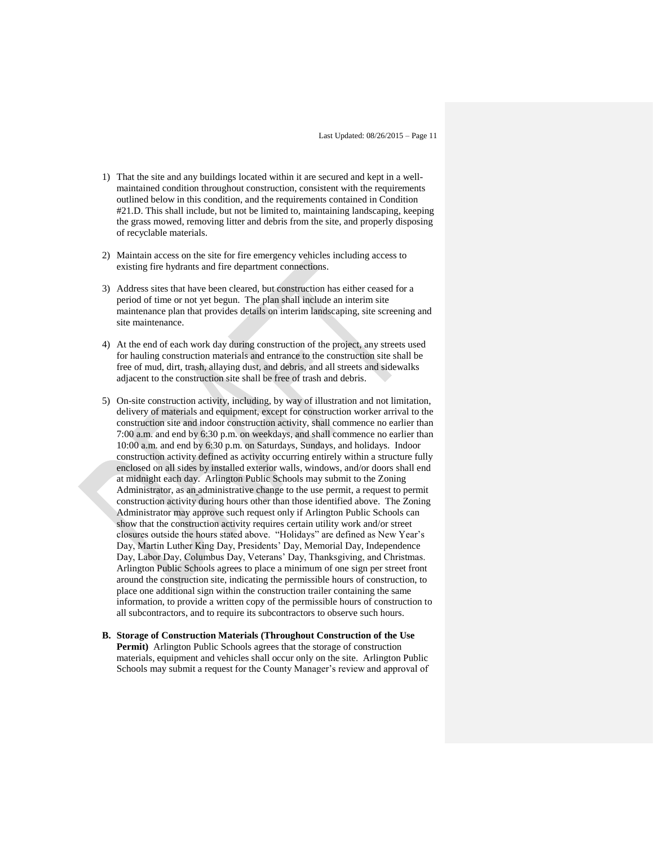- 1) That the site and any buildings located within it are secured and kept in a wellmaintained condition throughout construction, consistent with the requirements outlined below in this condition, and the requirements contained in Condition #21.D. This shall include, but not be limited to, maintaining landscaping, keeping the grass mowed, removing litter and debris from the site, and properly disposing of recyclable materials.
- 2) Maintain access on the site for fire emergency vehicles including access to existing fire hydrants and fire department connections.
- 3) Address sites that have been cleared, but construction has either ceased for a period of time or not yet begun. The plan shall include an interim site maintenance plan that provides details on interim landscaping, site screening and site maintenance.
- 4) At the end of each work day during construction of the project, any streets used for hauling construction materials and entrance to the construction site shall be free of mud, dirt, trash, allaying dust, and debris, and all streets and sidewalks adjacent to the construction site shall be free of trash and debris.
- 5) On-site construction activity, including, by way of illustration and not limitation, delivery of materials and equipment, except for construction worker arrival to the construction site and indoor construction activity, shall commence no earlier than 7:00 a.m. and end by 6:30 p.m. on weekdays, and shall commence no earlier than 10:00 a.m. and end by 6:30 p.m. on Saturdays, Sundays, and holidays. Indoor construction activity defined as activity occurring entirely within a structure fully enclosed on all sides by installed exterior walls, windows, and/or doors shall end at midnight each day. Arlington Public Schools may submit to the Zoning Administrator, as an administrative change to the use permit, a request to permit construction activity during hours other than those identified above. The Zoning Administrator may approve such request only if Arlington Public Schools can show that the construction activity requires certain utility work and/or street closures outside the hours stated above. "Holidays" are defined as New Year's Day, Martin Luther King Day, Presidents' Day, Memorial Day, Independence Day, Labor Day, Columbus Day, Veterans' Day, Thanksgiving, and Christmas. Arlington Public Schools agrees to place a minimum of one sign per street front around the construction site, indicating the permissible hours of construction, to place one additional sign within the construction trailer containing the same information, to provide a written copy of the permissible hours of construction to all subcontractors, and to require its subcontractors to observe such hours.
- **B. Storage of Construction Materials (Throughout Construction of the Use Permit)** Arlington Public Schools agrees that the storage of construction materials, equipment and vehicles shall occur only on the site. Arlington Public Schools may submit a request for the County Manager's review and approval of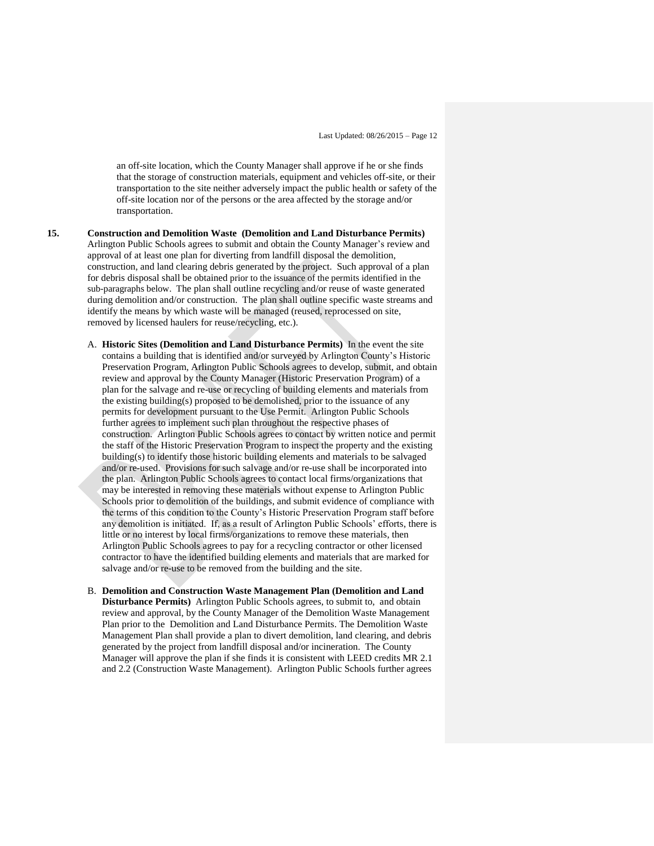an off-site location, which the County Manager shall approve if he or she finds that the storage of construction materials, equipment and vehicles off-site, or their transportation to the site neither adversely impact the public health or safety of the off-site location nor of the persons or the area affected by the storage and/or transportation.

- **15. Construction and Demolition Waste (Demolition and Land Disturbance Permits)** Arlington Public Schools agrees to submit and obtain the County Manager's review and approval of at least one plan for diverting from landfill disposal the demolition, construction, and land clearing debris generated by the project. Such approval of a plan for debris disposal shall be obtained prior to the issuance of the permits identified in the sub-paragraphs below. The plan shall outline recycling and/or reuse of waste generated during demolition and/or construction. The plan shall outline specific waste streams and identify the means by which waste will be managed (reused, reprocessed on site, removed by licensed haulers for reuse/recycling, etc.).
	- A. **Historic Sites (Demolition and Land Disturbance Permits)** In the event the site contains a building that is identified and/or surveyed by Arlington County's Historic Preservation Program, Arlington Public Schools agrees to develop, submit, and obtain review and approval by the County Manager (Historic Preservation Program) of a plan for the salvage and re-use or recycling of building elements and materials from the existing building(s) proposed to be demolished, prior to the issuance of any permits for development pursuant to the Use Permit. Arlington Public Schools further agrees to implement such plan throughout the respective phases of construction. Arlington Public Schools agrees to contact by written notice and permit the staff of the Historic Preservation Program to inspect the property and the existing building(s) to identify those historic building elements and materials to be salvaged and/or re-used. Provisions for such salvage and/or re-use shall be incorporated into the plan. Arlington Public Schools agrees to contact local firms/organizations that may be interested in removing these materials without expense to Arlington Public Schools prior to demolition of the buildings, and submit evidence of compliance with the terms of this condition to the County's Historic Preservation Program staff before any demolition is initiated. If, as a result of Arlington Public Schools' efforts, there is little or no interest by local firms/organizations to remove these materials, then Arlington Public Schools agrees to pay for a recycling contractor or other licensed contractor to have the identified building elements and materials that are marked for salvage and/or re-use to be removed from the building and the site.
	- B. **Demolition and Construction Waste Management Plan (Demolition and Land Disturbance Permits)** Arlington Public Schools agrees, to submit to, and obtain review and approval, by the County Manager of the Demolition Waste Management Plan prior to the Demolition and Land Disturbance Permits. The Demolition Waste Management Plan shall provide a plan to divert demolition, land clearing, and debris generated by the project from landfill disposal and/or incineration. The County Manager will approve the plan if she finds it is consistent with LEED credits MR 2.1 and 2.2 (Construction Waste Management). Arlington Public Schools further agrees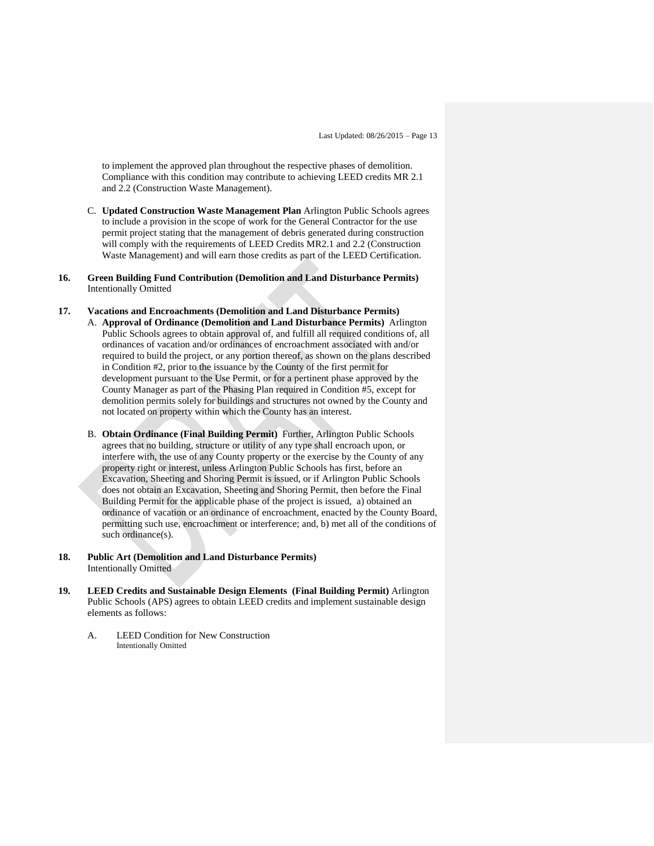to implement the approved plan throughout the respective phases of demolition. Compliance with this condition may contribute to achieving LEED credits MR 2.1 and 2.2 (Construction Waste Management).

- C. **Updated Construction Waste Management Plan** Arlington Public Schools agrees to include a provision in the scope of work for the General Contractor for the use permit project stating that the management of debris generated during construction will comply with the requirements of LEED Credits MR2.1 and 2.2 (Construction Waste Management) and will earn those credits as part of the LEED Certification.
- **16. Green Building Fund Contribution (Demolition and Land Disturbance Permits)**  Intentionally Omitted

# **17. Vacations and Encroachments (Demolition and Land Disturbance Permits)**

- A. **Approval of Ordinance (Demolition and Land Disturbance Permits)** Arlington Public Schools agrees to obtain approval of, and fulfill all required conditions of, all ordinances of vacation and/or ordinances of encroachment associated with and/or required to build the project, or any portion thereof, as shown on the plans described in Condition #2, prior to the issuance by the County of the first permit for development pursuant to the Use Permit, or for a pertinent phase approved by the County Manager as part of the Phasing Plan required in Condition #5, except for demolition permits solely for buildings and structures not owned by the County and not located on property within which the County has an interest.
- B. **Obtain Ordinance (Final Building Permit)** Further, Arlington Public Schools agrees that no building, structure or utility of any type shall encroach upon, or interfere with, the use of any County property or the exercise by the County of any property right or interest, unless Arlington Public Schools has first, before an Excavation, Sheeting and Shoring Permit is issued, or if Arlington Public Schools does not obtain an Excavation, Sheeting and Shoring Permit, then before the Final Building Permit for the applicable phase of the project is issued, a) obtained an ordinance of vacation or an ordinance of encroachment, enacted by the County Board, permitting such use, encroachment or interference; and, b) met all of the conditions of such ordinance(s).
- **18. Public Art (Demolition and Land Disturbance Permits)**  Intentionally Omitted
- **19. LEED Credits and Sustainable Design Elements (Final Building Permit)** Arlington Public Schools (APS) agrees to obtain LEED credits and implement sustainable design elements as follows:
	- A. LEED Condition for New Construction Intentionally Omitted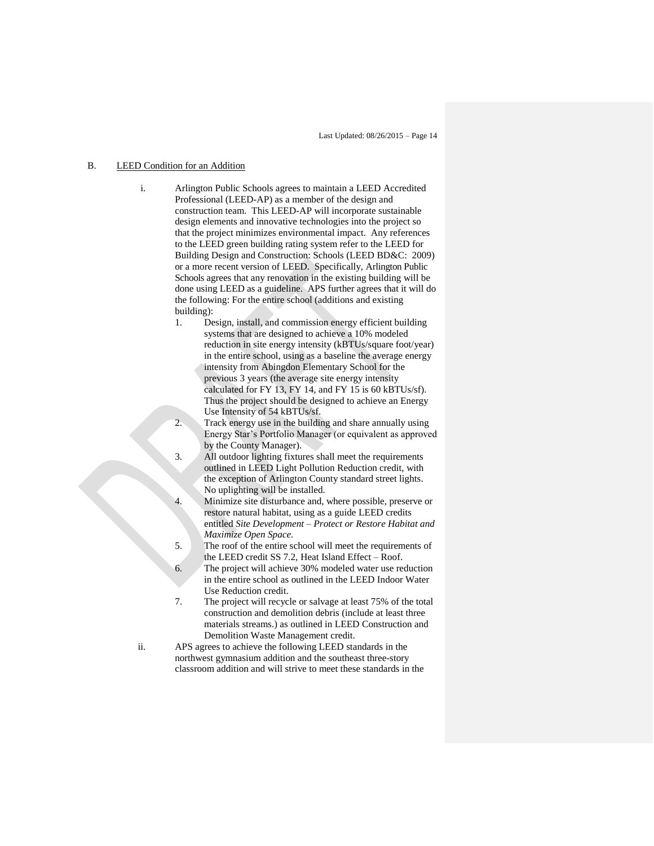#### B. LEED Condition for an Addition

- i. Arlington Public Schools agrees to maintain a LEED Accredited Professional (LEED-AP) as a member of the design and construction team. This LEED-AP will incorporate sustainable design elements and innovative technologies into the project so that the project minimizes environmental impact. Any references to the LEED green building rating system refer to the LEED for Building Design and Construction: Schools (LEED BD&C: 2009) or a more recent version of LEED. Specifically, Arlington Public Schools agrees that any renovation in the existing building will be done using LEED as a guideline. APS further agrees that it will do the following: For the entire school (additions and existing building):
	- 1. Design, install, and commission energy efficient building systems that are designed to achieve a 10% modeled reduction in site energy intensity (kBTUs/square foot/year) in the entire school, using as a baseline the average energy intensity from Abingdon Elementary School for the previous 3 years (the average site energy intensity calculated for FY 13, FY 14, and FY 15 is 60 kBTUs/sf). Thus the project should be designed to achieve an Energy Use Intensity of 54 kBTUs/sf.
	- 2. Track energy use in the building and share annually using Energy Star's Portfolio Manager (or equivalent as approved by the County Manager).
	- 3. All outdoor lighting fixtures shall meet the requirements outlined in LEED Light Pollution Reduction credit, with the exception of Arlington County standard street lights. No uplighting will be installed.
	- Minimize site disturbance and, where possible, preserve or restore natural habitat, using as a guide LEED credits entitled *Site Development – Protect or Restore Habitat and Maximize Open Space.*
	- 5. The roof of the entire school will meet the requirements of the LEED credit SS 7.2, Heat Island Effect – Roof.
	- 6. The project will achieve 30% modeled water use reduction in the entire school as outlined in the LEED Indoor Water Use Reduction credit.
	- 7. The project will recycle or salvage at least 75% of the total construction and demolition debris (include at least three materials streams.) as outlined in LEED Construction and Demolition Waste Management credit.
- ii. APS agrees to achieve the following LEED standards in the northwest gymnasium addition and the southeast three-story classroom addition and will strive to meet these standards in the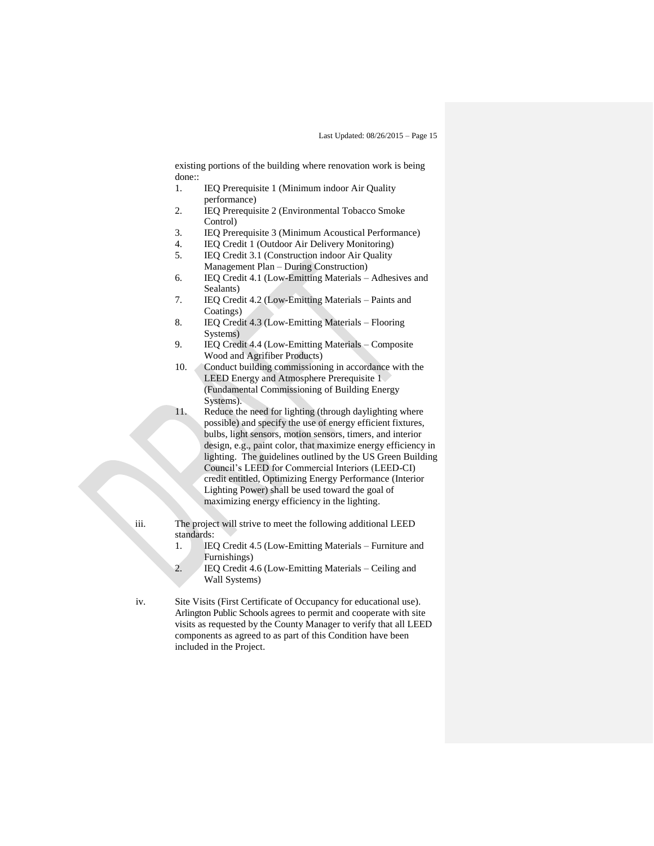existing portions of the building where renovation work is being done::

- 1. IEQ Prerequisite 1 (Minimum indoor Air Quality performance)
- 2. IEQ Prerequisite 2 (Environmental Tobacco Smoke Control)
- 3. IEQ Prerequisite 3 (Minimum Acoustical Performance)
- 4. IEQ Credit 1 (Outdoor Air Delivery Monitoring)
- 5. IEQ Credit 3.1 (Construction indoor Air Quality Management Plan – During Construction)
- 6. IEQ Credit 4.1 (Low-Emitting Materials Adhesives and Sealants)
- 7. IEQ Credit 4.2 (Low-Emitting Materials Paints and Coatings)
- 8. IEQ Credit 4.3 (Low-Emitting Materials Flooring Systems)
- 9. IEQ Credit 4.4 (Low-Emitting Materials Composite Wood and Agrifiber Products)
- 10. Conduct building commissioning in accordance with the LEED Energy and Atmosphere Prerequisite 1 (Fundamental Commissioning of Building Energy Systems).
- 11. Reduce the need for lighting (through daylighting where possible) and specify the use of energy efficient fixtures, bulbs, light sensors, motion sensors, timers, and interior design, e.g., paint color, that maximize energy efficiency in lighting. The guidelines outlined by the US Green Building Council's LEED for Commercial Interiors (LEED-CI) credit entitled, Optimizing Energy Performance (Interior Lighting Power) shall be used toward the goal of maximizing energy efficiency in the lighting.
- iii. The project will strive to meet the following additional LEED standards:
	- 1. IEQ Credit 4.5 (Low-Emitting Materials Furniture and Furnishings)
	- 2. IEQ Credit 4.6 (Low-Emitting Materials Ceiling and Wall Systems)
- iv. Site Visits (First Certificate of Occupancy for educational use). Arlington Public Schools agrees to permit and cooperate with site visits as requested by the County Manager to verify that all LEED components as agreed to as part of this Condition have been included in the Project.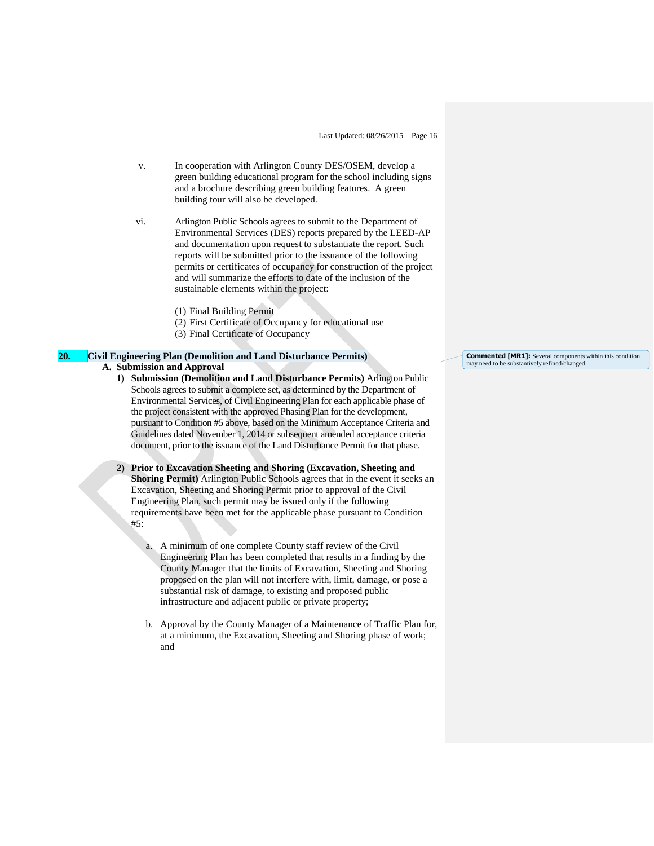- v. In cooperation with Arlington County DES/OSEM, develop a green building educational program for the school including signs and a brochure describing green building features. A green building tour will also be developed.
- vi. Arlington Public Schools agrees to submit to the Department of Environmental Services (DES) reports prepared by the LEED-AP and documentation upon request to substantiate the report. Such reports will be submitted prior to the issuance of the following permits or certificates of occupancy for construction of the project and will summarize the efforts to date of the inclusion of the sustainable elements within the project:
	- (1) Final Building Permit
	- (2) First Certificate of Occupancy for educational use
	- (3) Final Certificate of Occupancy

## **20. Civil Engineering Plan (Demolition and Land Disturbance Permits) A. Submission and Approval**

- **1) Submission (Demolition and Land Disturbance Permits)** Arlington Public Schools agrees to submit a complete set, as determined by the Department of Environmental Services, of Civil Engineering Plan for each applicable phase of the project consistent with the approved Phasing Plan for the development, pursuant to Condition #5 above, based on the Minimum Acceptance Criteria and Guidelines dated November 1, 2014 or subsequent amended acceptance criteria document, prior to the issuance of the Land Disturbance Permit for that phase.
- **2) Prior to Excavation Sheeting and Shoring (Excavation, Sheeting and Shoring Permit)** Arlington Public Schools agrees that in the event it seeks an Excavation, Sheeting and Shoring Permit prior to approval of the Civil Engineering Plan, such permit may be issued only if the following requirements have been met for the applicable phase pursuant to Condition #5:
	- a. A minimum of one complete County staff review of the Civil Engineering Plan has been completed that results in a finding by the County Manager that the limits of Excavation, Sheeting and Shoring proposed on the plan will not interfere with, limit, damage, or pose a substantial risk of damage, to existing and proposed public infrastructure and adjacent public or private property;
	- b. Approval by the County Manager of a Maintenance of Traffic Plan for, at a minimum, the Excavation, Sheeting and Shoring phase of work; and

**Commented [MR1]:** Several components within this condition may need to be substantively refined/changed.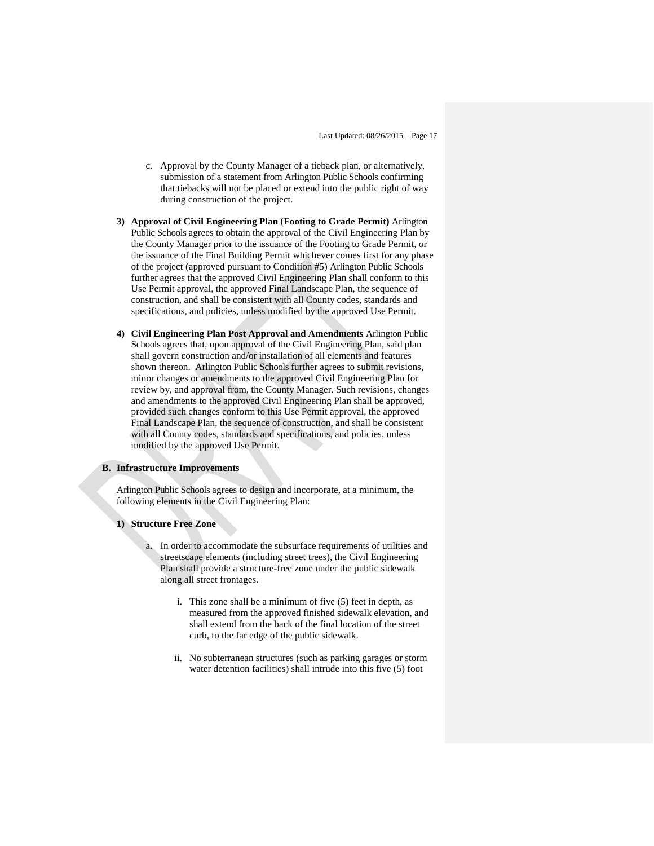- c. Approval by the County Manager of a tieback plan, or alternatively, submission of a statement from Arlington Public Schools confirming that tiebacks will not be placed or extend into the public right of way during construction of the project.
- **3) Approval of Civil Engineering Plan** (**Footing to Grade Permit)** Arlington Public Schools agrees to obtain the approval of the Civil Engineering Plan by the County Manager prior to the issuance of the Footing to Grade Permit, or the issuance of the Final Building Permit whichever comes first for any phase of the project (approved pursuant to Condition #5) Arlington Public Schools further agrees that the approved Civil Engineering Plan shall conform to this Use Permit approval, the approved Final Landscape Plan, the sequence of construction, and shall be consistent with all County codes, standards and specifications, and policies, unless modified by the approved Use Permit.
- **4) Civil Engineering Plan Post Approval and Amendments** Arlington Public Schools agrees that, upon approval of the Civil Engineering Plan, said plan shall govern construction and/or installation of all elements and features shown thereon. Arlington Public Schools further agrees to submit revisions, minor changes or amendments to the approved Civil Engineering Plan for review by, and approval from, the County Manager. Such revisions, changes and amendments to the approved Civil Engineering Plan shall be approved, provided such changes conform to this Use Permit approval, the approved Final Landscape Plan, the sequence of construction, and shall be consistent with all County codes, standards and specifications, and policies, unless modified by the approved Use Permit.

#### **B. Infrastructure Improvements**

Arlington Public Schools agrees to design and incorporate, at a minimum, the following elements in the Civil Engineering Plan:

#### **1) Structure Free Zone**

- a. In order to accommodate the subsurface requirements of utilities and streetscape elements (including street trees), the Civil Engineering Plan shall provide a structure-free zone under the public sidewalk along all street frontages.
	- i. This zone shall be a minimum of five (5) feet in depth, as measured from the approved finished sidewalk elevation, and shall extend from the back of the final location of the street curb, to the far edge of the public sidewalk.
	- ii. No subterranean structures (such as parking garages or storm water detention facilities) shall intrude into this five (5) foot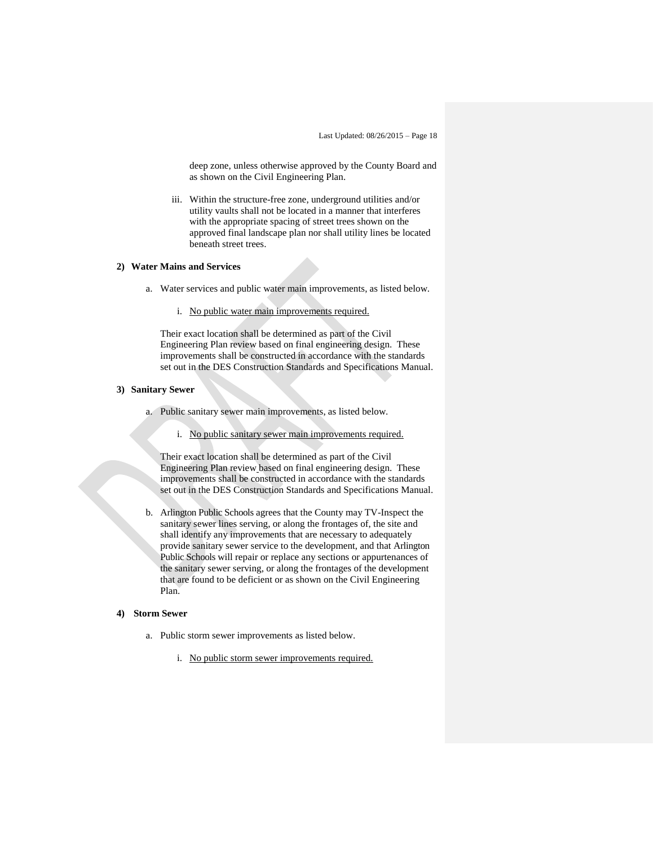deep zone, unless otherwise approved by the County Board and as shown on the Civil Engineering Plan.

iii. Within the structure-free zone, underground utilities and/or utility vaults shall not be located in a manner that interferes with the appropriate spacing of street trees shown on the approved final landscape plan nor shall utility lines be located beneath street trees.

#### **2) Water Mains and Services**

- a. Water services and public water main improvements, as listed below.
	- i. No public water main improvements required.

Their exact location shall be determined as part of the Civil Engineering Plan review based on final engineering design. These improvements shall be constructed in accordance with the standards set out in the DES Construction Standards and Specifications Manual.

#### **3) Sanitary Sewer**

- a. Public sanitary sewer main improvements, as listed below.
	- i. No public sanitary sewer main improvements required.

Their exact location shall be determined as part of the Civil Engineering Plan review based on final engineering design. These improvements shall be constructed in accordance with the standards set out in the DES Construction Standards and Specifications Manual.

b. Arlington Public Schools agrees that the County may TV-Inspect the sanitary sewer lines serving, or along the frontages of, the site and shall identify any improvements that are necessary to adequately provide sanitary sewer service to the development, and that Arlington Public Schools will repair or replace any sections or appurtenances of the sanitary sewer serving, or along the frontages of the development that are found to be deficient or as shown on the Civil Engineering Plan.

#### **4) Storm Sewer**

- a. Public storm sewer improvements as listed below.
	- i. No public storm sewer improvements required.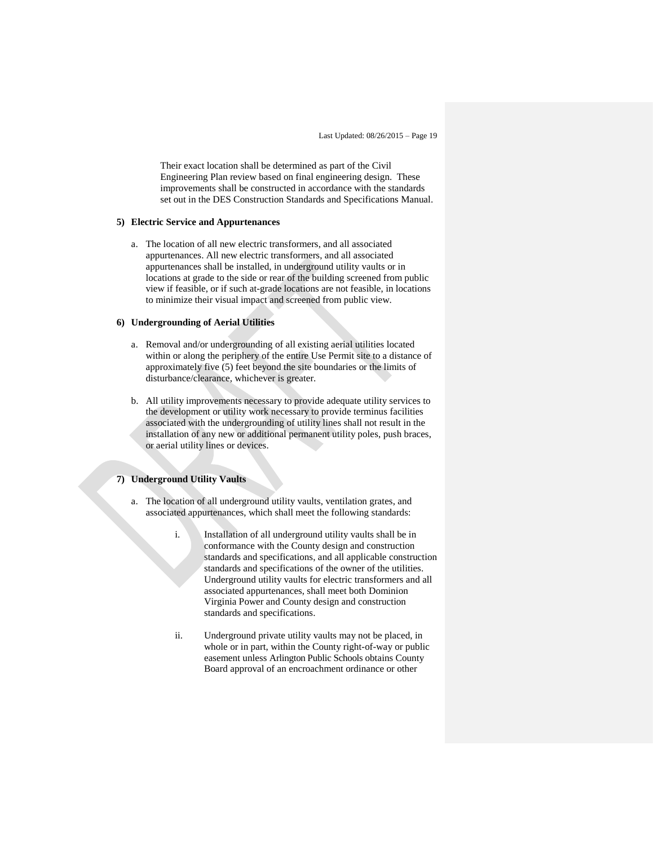Their exact location shall be determined as part of the Civil Engineering Plan review based on final engineering design. These improvements shall be constructed in accordance with the standards set out in the DES Construction Standards and Specifications Manual.

#### **5) Electric Service and Appurtenances**

a. The location of all new electric transformers, and all associated appurtenances. All new electric transformers, and all associated appurtenances shall be installed, in underground utility vaults or in locations at grade to the side or rear of the building screened from public view if feasible, or if such at-grade locations are not feasible, in locations to minimize their visual impact and screened from public view.

#### **6) Undergrounding of Aerial Utilities**

- a. Removal and/or undergrounding of all existing aerial utilities located within or along the periphery of the entire Use Permit site to a distance of approximately five (5) feet beyond the site boundaries or the limits of disturbance/clearance, whichever is greater.
- b. All utility improvements necessary to provide adequate utility services to the development or utility work necessary to provide terminus facilities associated with the undergrounding of utility lines shall not result in the installation of any new or additional permanent utility poles, push braces, or aerial utility lines or devices.

## **7) Underground Utility Vaults**

- a. The location of all underground utility vaults, ventilation grates, and associated appurtenances, which shall meet the following standards:
	- i. Installation of all underground utility vaults shall be in conformance with the County design and construction standards and specifications, and all applicable construction standards and specifications of the owner of the utilities. Underground utility vaults for electric transformers and all associated appurtenances, shall meet both Dominion Virginia Power and County design and construction standards and specifications.
	- ii. Underground private utility vaults may not be placed, in whole or in part, within the County right-of-way or public easement unless Arlington Public Schools obtains County Board approval of an encroachment ordinance or other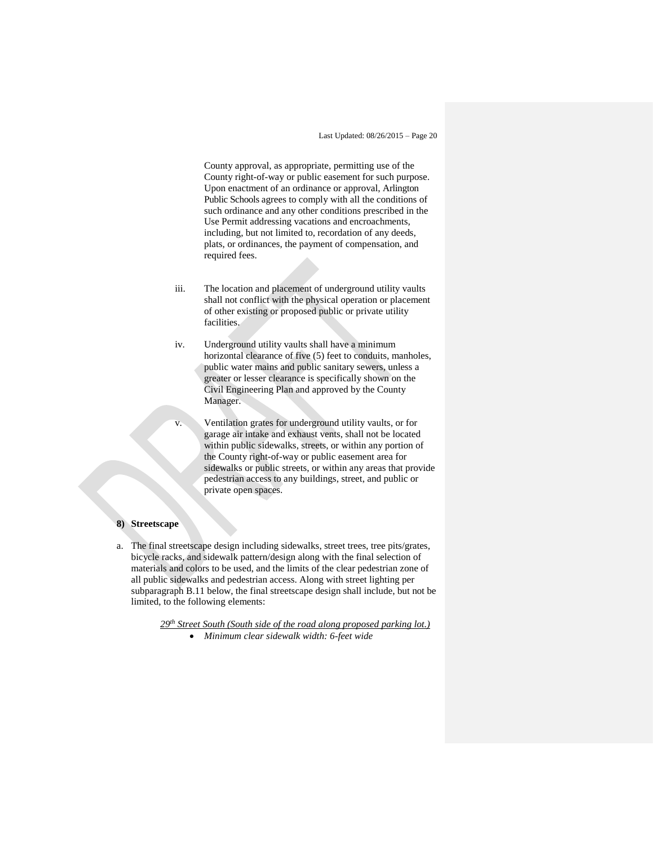County approval, as appropriate, permitting use of the County right-of-way or public easement for such purpose. Upon enactment of an ordinance or approval, Arlington Public Schools agrees to comply with all the conditions of such ordinance and any other conditions prescribed in the Use Permit addressing vacations and encroachments, including, but not limited to, recordation of any deeds, plats, or ordinances, the payment of compensation, and required fees.

- iii. The location and placement of underground utility vaults shall not conflict with the physical operation or placement of other existing or proposed public or private utility facilities.
- iv. Underground utility vaults shall have a minimum horizontal clearance of five (5) feet to conduits, manholes, public water mains and public sanitary sewers, unless a greater or lesser clearance is specifically shown on the Civil Engineering Plan and approved by the County Manager.
- v. Ventilation grates for underground utility vaults, or for garage air intake and exhaust vents, shall not be located within public sidewalks, streets, or within any portion of the County right-of-way or public easement area for sidewalks or public streets, or within any areas that provide pedestrian access to any buildings, street, and public or private open spaces.

#### **8) Streetscape**

a. The final streetscape design including sidewalks, street trees, tree pits/grates, bicycle racks, and sidewalk pattern/design along with the final selection of materials and colors to be used, and the limits of the clear pedestrian zone of all public sidewalks and pedestrian access. Along with street lighting per subparagraph B.11 below, the final streetscape design shall include, but not be limited, to the following elements:

*29th Street South (South side of the road along proposed parking lot.)*

*Minimum clear sidewalk width: 6-feet wide*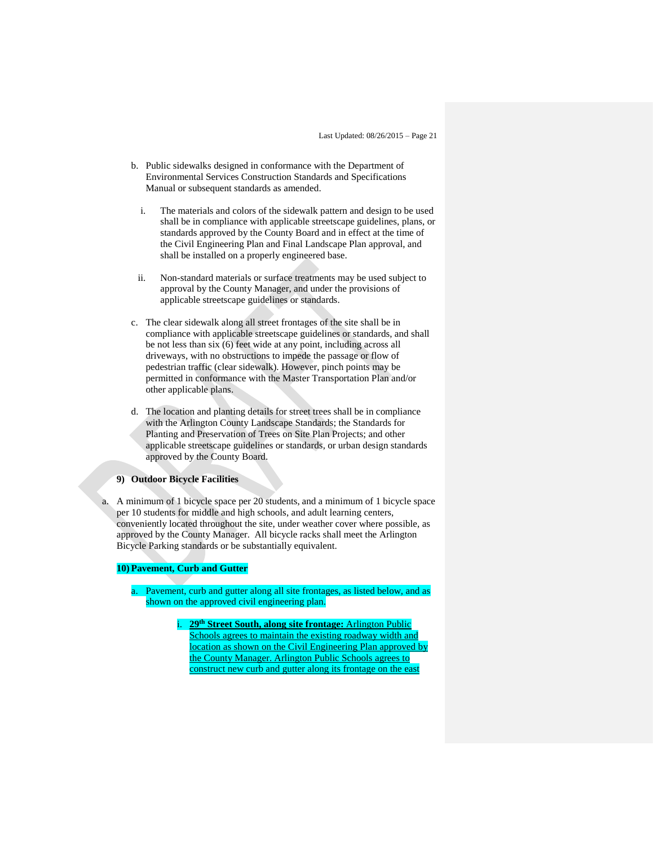- b. Public sidewalks designed in conformance with the Department of Environmental Services Construction Standards and Specifications Manual or subsequent standards as amended.
	- i. The materials and colors of the sidewalk pattern and design to be used shall be in compliance with applicable streetscape guidelines, plans, or standards approved by the County Board and in effect at the time of the Civil Engineering Plan and Final Landscape Plan approval, and shall be installed on a properly engineered base.
- ii. Non-standard materials or surface treatments may be used subject to approval by the County Manager, and under the provisions of applicable streetscape guidelines or standards.
- c. The clear sidewalk along all street frontages of the site shall be in compliance with applicable streetscape guidelines or standards, and shall be not less than six (6) feet wide at any point, including across all driveways, with no obstructions to impede the passage or flow of pedestrian traffic (clear sidewalk). However, pinch points may be permitted in conformance with the Master Transportation Plan and/or other applicable plans.
- d. The location and planting details for street trees shall be in compliance with the Arlington County Landscape Standards; the Standards for Planting and Preservation of Trees on Site Plan Projects; and other applicable streetscape guidelines or standards, or urban design standards approved by the County Board.

#### **9) Outdoor Bicycle Facilities**

a. A minimum of 1 bicycle space per 20 students, and a minimum of 1 bicycle space per 10 students for middle and high schools, and adult learning centers, conveniently located throughout the site, under weather cover where possible, as approved by the County Manager. All bicycle racks shall meet the Arlington Bicycle Parking standards or be substantially equivalent.

#### **10) Pavement, Curb and Gutter**

- a. Pavement, curb and gutter along all site frontages, as listed below, and as shown on the approved civil engineering plan.
	- i. **29th Street South, along site frontage:** Arlington Public Schools agrees to maintain the existing roadway width and location as shown on the Civil Engineering Plan approved by the County Manager. Arlington Public Schools agrees to construct new curb and gutter along its frontage on the east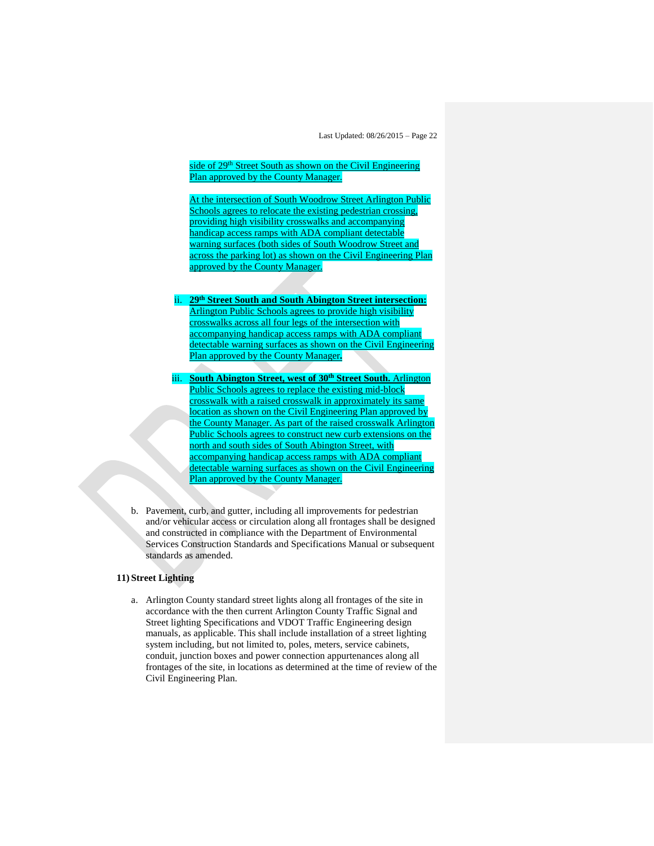side of 29<sup>th</sup> Street South as shown on the Civil Engineering Plan approved by the County Manager.

At the intersection of South Woodrow Street Arlington Public Schools agrees to relocate the existing pedestrian crossing, providing high visibility crosswalks and accompanying handicap access ramps with ADA compliant detectable warning surfaces (both sides of South Woodrow Street and across the parking lot) as shown on the Civil Engineering Plan approved by the County Manager.

- ii. **29th Street South and South Abington Street intersection:**  Arlington Public Schools agrees to provide high visibility crosswalks across all four legs of the intersection with accompanying handicap access ramps with ADA compliant detectable warning surfaces as shown on the Civil Engineering Plan approved by the County Manager**.**
- iii. **South Abington Street, west of 30th Street South.** Arlington Public Schools agrees to replace the existing mid-block crosswalk with a raised crosswalk in approximately its same location as shown on the Civil Engineering Plan approved by the County Manager. As part of the raised crosswalk Arlington Public Schools agrees to construct new curb extensions on the north and south sides of South Abington Street, with accompanying handicap access ramps with ADA compliant detectable warning surfaces as shown on the Civil Engineering Plan approved by the County Manager.
- b. Pavement, curb, and gutter, including all improvements for pedestrian and/or vehicular access or circulation along all frontages shall be designed and constructed in compliance with the Department of Environmental Services Construction Standards and Specifications Manual or subsequent standards as amended.

#### **11) Street Lighting**

a. Arlington County standard street lights along all frontages of the site in accordance with the then current Arlington County Traffic Signal and Street lighting Specifications and VDOT Traffic Engineering design manuals, as applicable. This shall include installation of a street lighting system including, but not limited to, poles, meters, service cabinets, conduit, junction boxes and power connection appurtenances along all frontages of the site, in locations as determined at the time of review of the Civil Engineering Plan.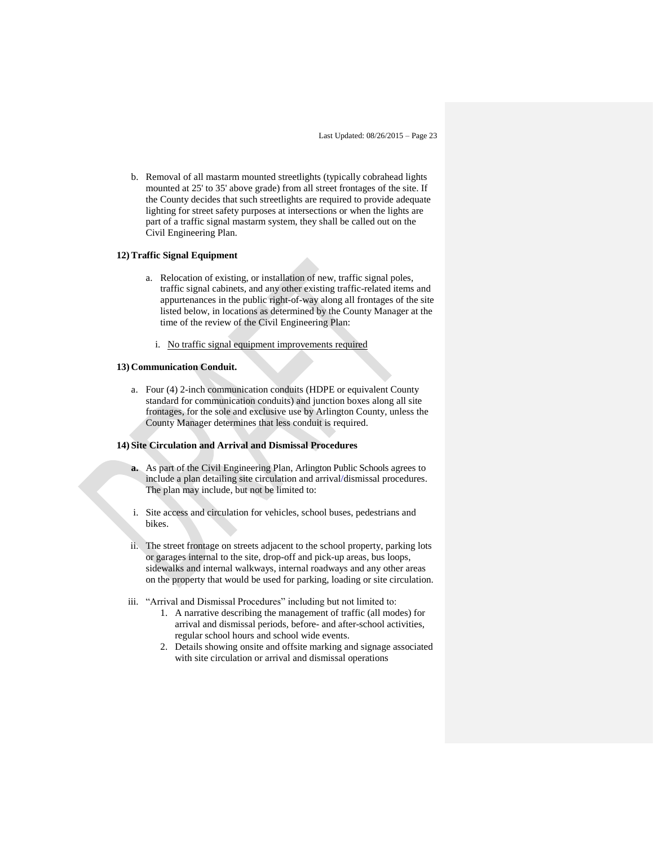b. Removal of all mastarm mounted streetlights (typically cobrahead lights mounted at 25' to 35' above grade) from all street frontages of the site. If the County decides that such streetlights are required to provide adequate lighting for street safety purposes at intersections or when the lights are part of a traffic signal mastarm system, they shall be called out on the Civil Engineering Plan.

## **12)Traffic Signal Equipment**

- a. Relocation of existing, or installation of new, traffic signal poles, traffic signal cabinets, and any other existing traffic-related items and appurtenances in the public right-of-way along all frontages of the site listed below, in locations as determined by the County Manager at the time of the review of the Civil Engineering Plan:
	- i. No traffic signal equipment improvements required

#### **13) Communication Conduit.**

a. Four (4) 2-inch communication conduits (HDPE or equivalent County standard for communication conduits) and junction boxes along all site frontages, for the sole and exclusive use by Arlington County, unless the County Manager determines that less conduit is required.

#### **14) Site Circulation and Arrival and Dismissal Procedures**

- **a.** As part of the Civil Engineering Plan, Arlington Public Schools agrees to include a plan detailing site circulation and arrival/dismissal procedures. The plan may include, but not be limited to:
- i. Site access and circulation for vehicles, school buses, pedestrians and bikes.
- ii. The street frontage on streets adjacent to the school property, parking lots or garages internal to the site, drop-off and pick-up areas, bus loops, sidewalks and internal walkways, internal roadways and any other areas on the property that would be used for parking, loading or site circulation.
- iii. "Arrival and Dismissal Procedures" including but not limited to:
	- 1. A narrative describing the management of traffic (all modes) for arrival and dismissal periods, before- and after-school activities, regular school hours and school wide events.
	- 2. Details showing onsite and offsite marking and signage associated with site circulation or arrival and dismissal operations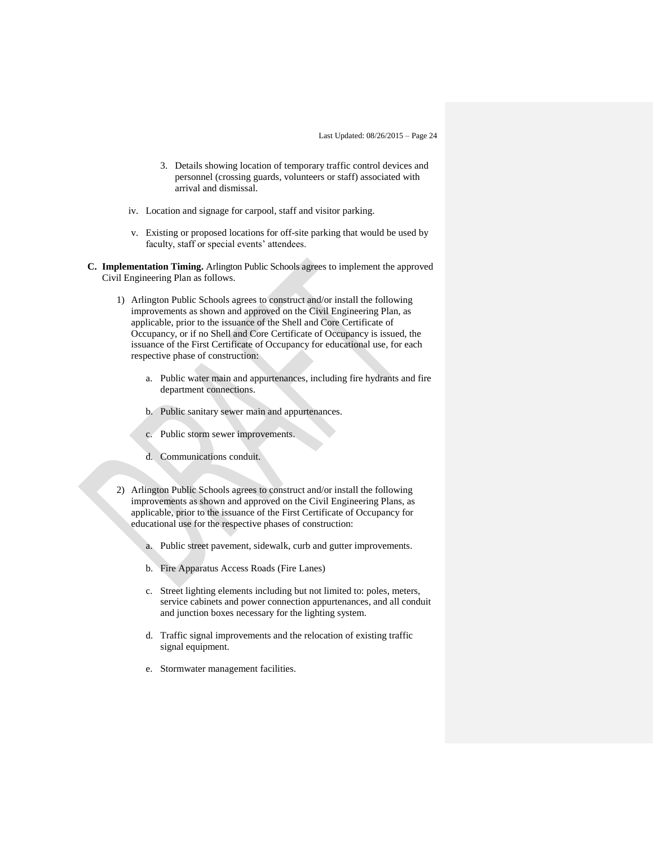- 3. Details showing location of temporary traffic control devices and personnel (crossing guards, volunteers or staff) associated with arrival and dismissal.
- iv. Location and signage for carpool, staff and visitor parking.
- v. Existing or proposed locations for off-site parking that would be used by faculty, staff or special events' attendees.
- **C. Implementation Timing.** Arlington Public Schools agrees to implement the approved Civil Engineering Plan as follows.
	- 1) Arlington Public Schools agrees to construct and/or install the following improvements as shown and approved on the Civil Engineering Plan, as applicable, prior to the issuance of the Shell and Core Certificate of Occupancy, or if no Shell and Core Certificate of Occupancy is issued, the issuance of the First Certificate of Occupancy for educational use, for each respective phase of construction:
		- a. Public water main and appurtenances, including fire hydrants and fire department connections.
		- b. Public sanitary sewer main and appurtenances.
		- c. Public storm sewer improvements.
		- d. Communications conduit.
	- 2) Arlington Public Schools agrees to construct and/or install the following improvements as shown and approved on the Civil Engineering Plans, as applicable, prior to the issuance of the First Certificate of Occupancy for educational use for the respective phases of construction:
		- a. Public street pavement, sidewalk, curb and gutter improvements.
		- b. Fire Apparatus Access Roads (Fire Lanes)
		- c. Street lighting elements including but not limited to: poles, meters, service cabinets and power connection appurtenances, and all conduit and junction boxes necessary for the lighting system.
		- d. Traffic signal improvements and the relocation of existing traffic signal equipment.
		- e. Stormwater management facilities.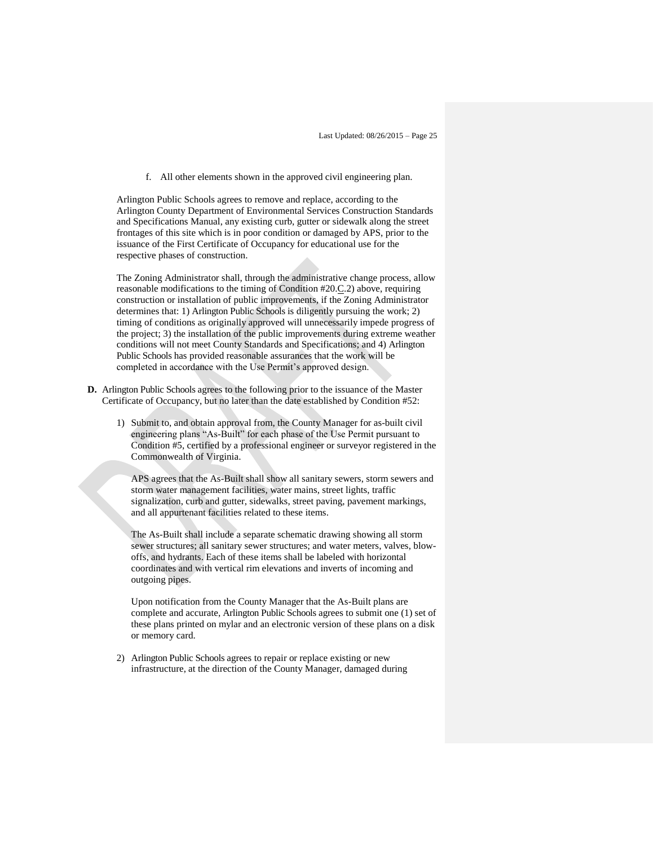f. All other elements shown in the approved civil engineering plan.

Arlington Public Schools agrees to remove and replace, according to the Arlington County Department of Environmental Services Construction Standards and Specifications Manual, any existing curb, gutter or sidewalk along the street frontages of this site which is in poor condition or damaged by APS, prior to the issuance of the First Certificate of Occupancy for educational use for the respective phases of construction.

The Zoning Administrator shall, through the administrative change process, allow reasonable modifications to the timing of Condition #20.C.2) above, requiring construction or installation of public improvements, if the Zoning Administrator determines that: 1) Arlington Public Schools is diligently pursuing the work; 2) timing of conditions as originally approved will unnecessarily impede progress of the project; 3) the installation of the public improvements during extreme weather conditions will not meet County Standards and Specifications; and 4) Arlington Public Schools has provided reasonable assurances that the work will be completed in accordance with the Use Permit's approved design.

- **D.** Arlington Public Schools agrees to the following prior to the issuance of the Master Certificate of Occupancy, but no later than the date established by Condition #52:
	- 1) Submit to, and obtain approval from, the County Manager for as-built civil engineering plans "As-Built" for each phase of the Use Permit pursuant to Condition #5, certified by a professional engineer or surveyor registered in the Commonwealth of Virginia.

APS agrees that the As-Built shall show all sanitary sewers, storm sewers and storm water management facilities, water mains, street lights, traffic signalization, curb and gutter, sidewalks, street paving, pavement markings, and all appurtenant facilities related to these items.

The As-Built shall include a separate schematic drawing showing all storm sewer structures; all sanitary sewer structures; and water meters, valves, blowoffs, and hydrants. Each of these items shall be labeled with horizontal coordinates and with vertical rim elevations and inverts of incoming and outgoing pipes.

Upon notification from the County Manager that the As-Built plans are complete and accurate, Arlington Public Schools agrees to submit one (1) set of these plans printed on mylar and an electronic version of these plans on a disk or memory card.

2) Arlington Public Schools agrees to repair or replace existing or new infrastructure, at the direction of the County Manager, damaged during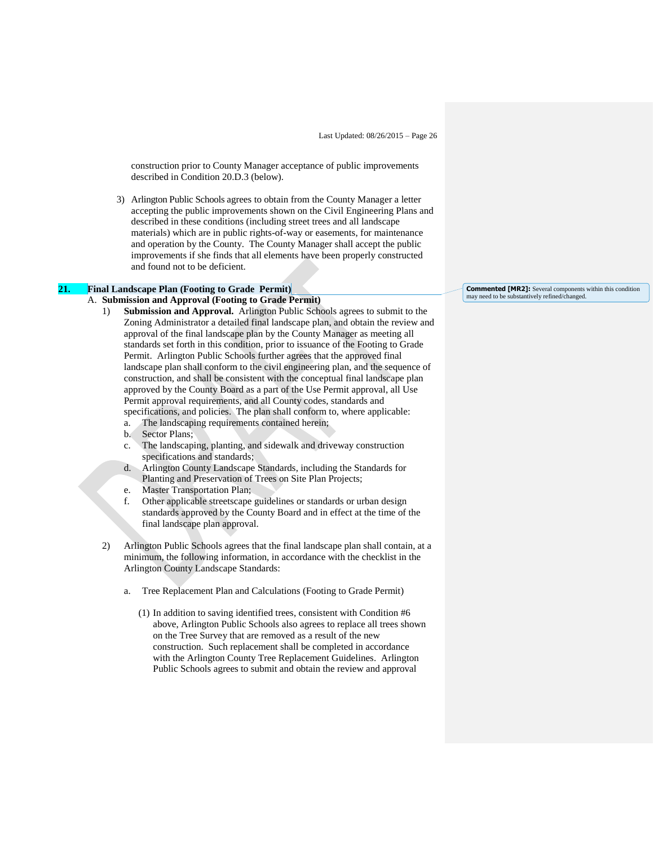construction prior to County Manager acceptance of public improvements described in Condition 20.D.3 (below).

3) Arlington Public Schools agrees to obtain from the County Manager a letter accepting the public improvements shown on the Civil Engineering Plans and described in these conditions (including street trees and all landscape materials) which are in public rights-of-way or easements, for maintenance and operation by the County. The County Manager shall accept the public improvements if she finds that all elements have been properly constructed and found not to be deficient.

#### **21. Final Landscape Plan (Footing to Grade Permit)**

#### A. **Submission and Approval (Footing to Grade Permit)**

- 1) **Submission and Approval.** Arlington Public Schools agrees to submit to the Zoning Administrator a detailed final landscape plan, and obtain the review and approval of the final landscape plan by the County Manager as meeting all standards set forth in this condition, prior to issuance of the Footing to Grade Permit. Arlington Public Schools further agrees that the approved final landscape plan shall conform to the civil engineering plan, and the sequence of construction, and shall be consistent with the conceptual final landscape plan approved by the County Board as a part of the Use Permit approval, all Use Permit approval requirements, and all County codes, standards and specifications, and policies. The plan shall conform to, where applicable:
	- a. The landscaping requirements contained herein;
	- b. Sector Plans;
	- c. The landscaping, planting, and sidewalk and driveway construction specifications and standards;
	- d. Arlington County Landscape Standards, including the Standards for Planting and Preservation of Trees on Site Plan Projects;
	- e. Master Transportation Plan;
	- f. Other applicable streetscape guidelines or standards or urban design standards approved by the County Board and in effect at the time of the final landscape plan approval.
- 2) Arlington Public Schools agrees that the final landscape plan shall contain, at a minimum, the following information, in accordance with the checklist in the Arlington County Landscape Standards:
	- a. Tree Replacement Plan and Calculations (Footing to Grade Permit)
		- (1) In addition to saving identified trees, consistent with Condition #6 above, Arlington Public Schools also agrees to replace all trees shown on the Tree Survey that are removed as a result of the new construction. Such replacement shall be completed in accordance with the Arlington County Tree Replacement Guidelines. Arlington Public Schools agrees to submit and obtain the review and approval

# **Commented [MR2]:** Several components within this condition may need to be substantively refined/changed.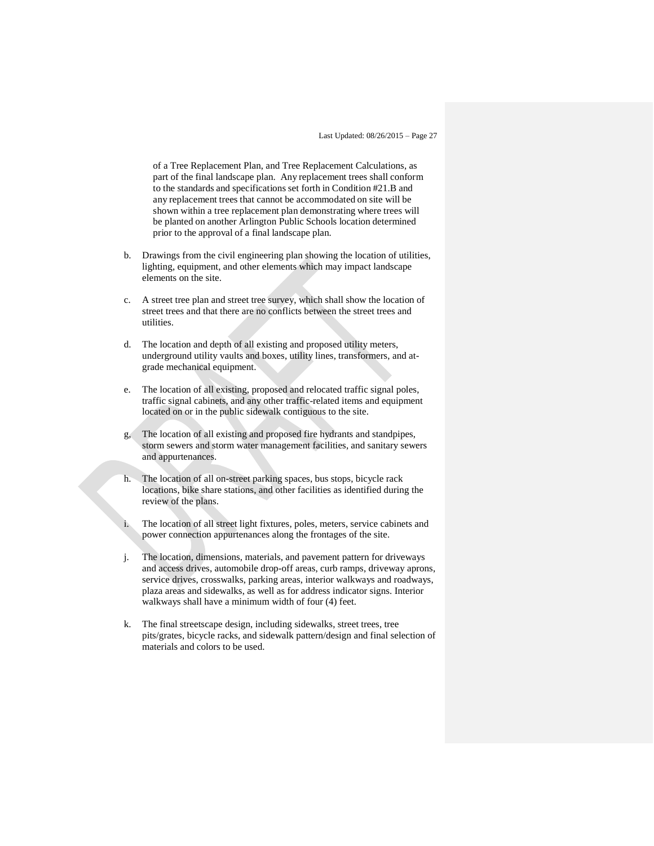of a Tree Replacement Plan, and Tree Replacement Calculations, as part of the final landscape plan. Any replacement trees shall conform to the standards and specifications set forth in Condition #21.B and any replacement trees that cannot be accommodated on site will be shown within a tree replacement plan demonstrating where trees will be planted on another Arlington Public Schools location determined prior to the approval of a final landscape plan.

- b. Drawings from the civil engineering plan showing the location of utilities, lighting, equipment, and other elements which may impact landscape elements on the site.
- c. A street tree plan and street tree survey, which shall show the location of street trees and that there are no conflicts between the street trees and utilities.
- d. The location and depth of all existing and proposed utility meters, underground utility vaults and boxes, utility lines, transformers, and atgrade mechanical equipment.
- e. The location of all existing, proposed and relocated traffic signal poles, traffic signal cabinets, and any other traffic-related items and equipment located on or in the public sidewalk contiguous to the site.
- g, The location of all existing and proposed fire hydrants and standpipes, storm sewers and storm water management facilities, and sanitary sewers and appurtenances.
- h. The location of all on-street parking spaces, bus stops, bicycle rack locations, bike share stations, and other facilities as identified during the review of the plans.
- i. The location of all street light fixtures, poles, meters, service cabinets and power connection appurtenances along the frontages of the site.
- j. The location, dimensions, materials, and pavement pattern for driveways and access drives, automobile drop-off areas, curb ramps, driveway aprons, service drives, crosswalks, parking areas, interior walkways and roadways, plaza areas and sidewalks, as well as for address indicator signs. Interior walkways shall have a minimum width of four (4) feet.
- k. The final streetscape design, including sidewalks, street trees, tree pits/grates, bicycle racks, and sidewalk pattern/design and final selection of materials and colors to be used.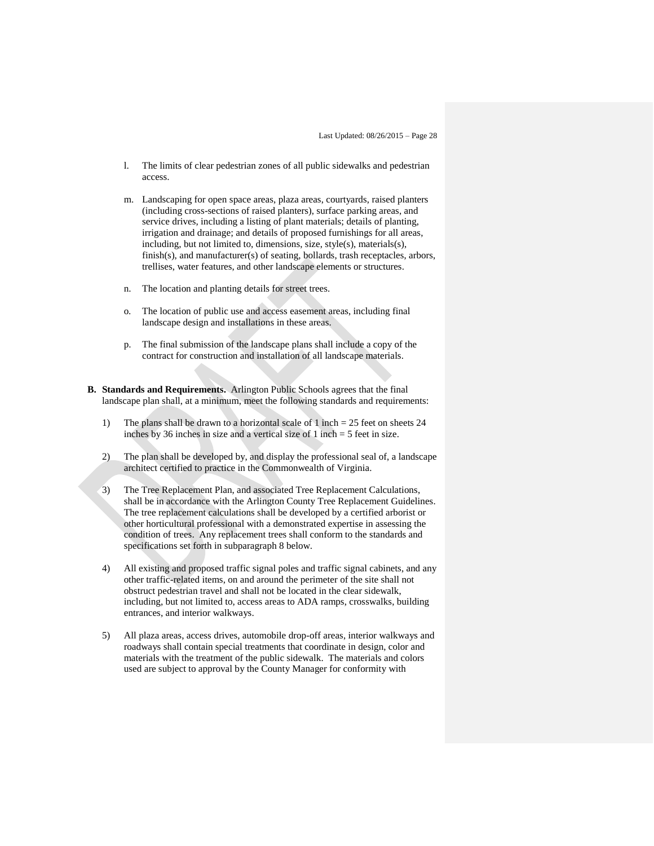- l. The limits of clear pedestrian zones of all public sidewalks and pedestrian access.
- m. Landscaping for open space areas, plaza areas, courtyards, raised planters (including cross-sections of raised planters), surface parking areas, and service drives, including a listing of plant materials; details of planting, irrigation and drainage; and details of proposed furnishings for all areas, including, but not limited to, dimensions, size, style(s), materials(s), finish(s), and manufacturer(s) of seating, bollards, trash receptacles, arbors, trellises, water features, and other landscape elements or structures.
- n. The location and planting details for street trees.
- o. The location of public use and access easement areas, including final landscape design and installations in these areas.
- p. The final submission of the landscape plans shall include a copy of the contract for construction and installation of all landscape materials.
- **B. Standards and Requirements.** Arlington Public Schools agrees that the final landscape plan shall, at a minimum, meet the following standards and requirements:
	- 1) The plans shall be drawn to a horizontal scale of 1 inch = 25 feet on sheets 24 inches by 36 inches in size and a vertical size of 1 inch = 5 feet in size.
	- 2) The plan shall be developed by, and display the professional seal of, a landscape architect certified to practice in the Commonwealth of Virginia.
	- 3) The Tree Replacement Plan, and associated Tree Replacement Calculations, shall be in accordance with the Arlington County Tree Replacement Guidelines. The tree replacement calculations shall be developed by a certified arborist or other horticultural professional with a demonstrated expertise in assessing the condition of trees. Any replacement trees shall conform to the standards and specifications set forth in subparagraph 8 below.
	- 4) All existing and proposed traffic signal poles and traffic signal cabinets, and any other traffic-related items, on and around the perimeter of the site shall not obstruct pedestrian travel and shall not be located in the clear sidewalk, including, but not limited to, access areas to ADA ramps, crosswalks, building entrances, and interior walkways.
	- 5) All plaza areas, access drives, automobile drop-off areas, interior walkways and roadways shall contain special treatments that coordinate in design, color and materials with the treatment of the public sidewalk. The materials and colors used are subject to approval by the County Manager for conformity with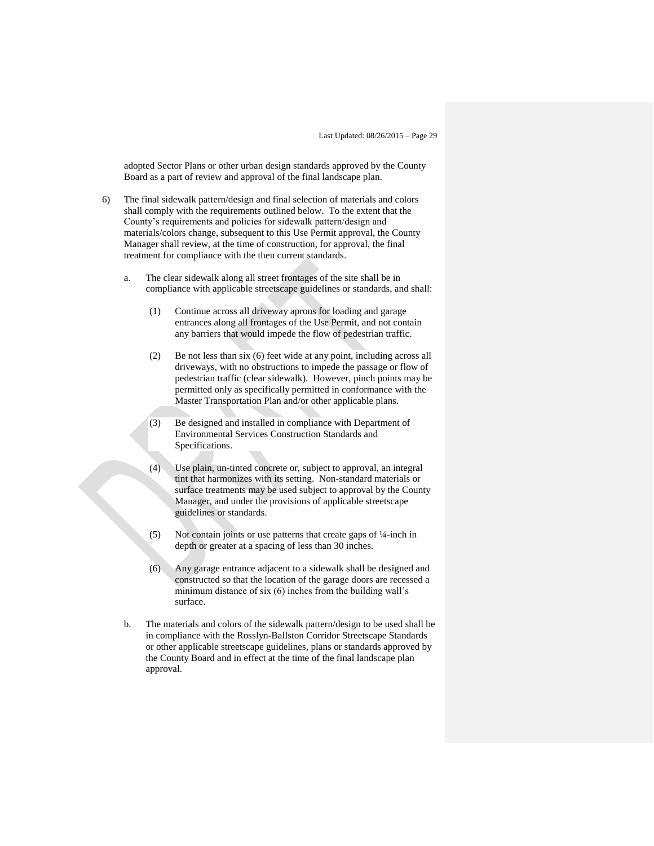adopted Sector Plans or other urban design standards approved by the County Board as a part of review and approval of the final landscape plan.

- 6) The final sidewalk pattern/design and final selection of materials and colors shall comply with the requirements outlined below. To the extent that the County's requirements and policies for sidewalk pattern/design and materials/colors change, subsequent to this Use Permit approval, the County Manager shall review, at the time of construction, for approval, the final treatment for compliance with the then current standards.
	- a. The clear sidewalk along all street frontages of the site shall be in compliance with applicable streetscape guidelines or standards, and shall:
		- (1) Continue across all driveway aprons for loading and garage entrances along all frontages of the Use Permit, and not contain any barriers that would impede the flow of pedestrian traffic.
		- (2) Be not less than six (6) feet wide at any point, including across all driveways, with no obstructions to impede the passage or flow of pedestrian traffic (clear sidewalk). However, pinch points may be permitted only as specifically permitted in conformance with the Master Transportation Plan and/or other applicable plans.
		- (3) Be designed and installed in compliance with Department of Environmental Services Construction Standards and Specifications.
		- (4) Use plain, un-tinted concrete or, subject to approval, an integral tint that harmonizes with its setting. Non-standard materials or surface treatments may be used subject to approval by the County Manager, and under the provisions of applicable streetscape guidelines or standards.
		- (5) Not contain joints or use patterns that create gaps of ¼-inch in depth or greater at a spacing of less than 30 inches.
		- (6) Any garage entrance adjacent to a sidewalk shall be designed and constructed so that the location of the garage doors are recessed a minimum distance of six (6) inches from the building wall's surface.
	- b. The materials and colors of the sidewalk pattern/design to be used shall be in compliance with the Rosslyn-Ballston Corridor Streetscape Standards or other applicable streetscape guidelines, plans or standards approved by the County Board and in effect at the time of the final landscape plan approval.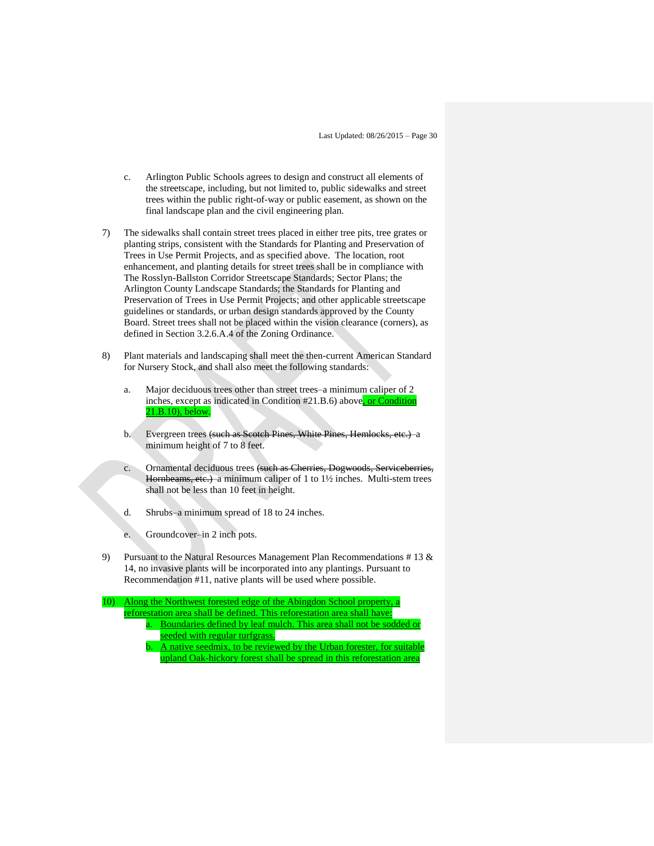- c. Arlington Public Schools agrees to design and construct all elements of the streetscape, including, but not limited to, public sidewalks and street trees within the public right-of-way or public easement, as shown on the final landscape plan and the civil engineering plan.
- 7) The sidewalks shall contain street trees placed in either tree pits, tree grates or planting strips, consistent with the Standards for Planting and Preservation of Trees in Use Permit Projects, and as specified above. The location, root enhancement, and planting details for street trees shall be in compliance with The Rosslyn-Ballston Corridor Streetscape Standards; Sector Plans; the Arlington County Landscape Standards; the Standards for Planting and Preservation of Trees in Use Permit Projects; and other applicable streetscape guidelines or standards, or urban design standards approved by the County Board. Street trees shall not be placed within the vision clearance (corners), as defined in Section 3.2.6.A.4 of the Zoning Ordinance.
- 8) Plant materials and landscaping shall meet the then-current American Standard for Nursery Stock, and shall also meet the following standards:
	- a. Major deciduous trees other than street trees–a minimum caliper of 2 inches, except as indicated in Condition #21.B.6) above, or Condition 21.B.10), below.
	- b. Evergreen trees (such as Scotch Pines, White Pines, Hemlocks, etc.)–a minimum height of 7 to 8 feet.
	- c. Ornamental deciduous trees (such as Cherries, Dogwoods, Serviceberries, Hornbeams, etc.)–a minimum caliper of 1 to 1½ inches. Multi-stem trees shall not be less than 10 feet in height.
	- d. Shrubs–a minimum spread of 18 to 24 inches.
	- e. Groundcover–in 2 inch pots.
- 9) Pursuant to the Natural Resources Management Plan Recommendations # 13 & 14, no invasive plants will be incorporated into any plantings. Pursuant to Recommendation #11, native plants will be used where possible.
- 10) Along the Northwest forested edge of the Abingdon School property, a reforestation area shall be defined. This reforestation area shall have: a. Boundaries defined by leaf mulch. This area shall not be sodded or seeded with regular turfgrass.
	- A native seedmix, to be reviewed by the Urban forester, for suitable upland Oak-hickory forest shall be spread in this reforestation area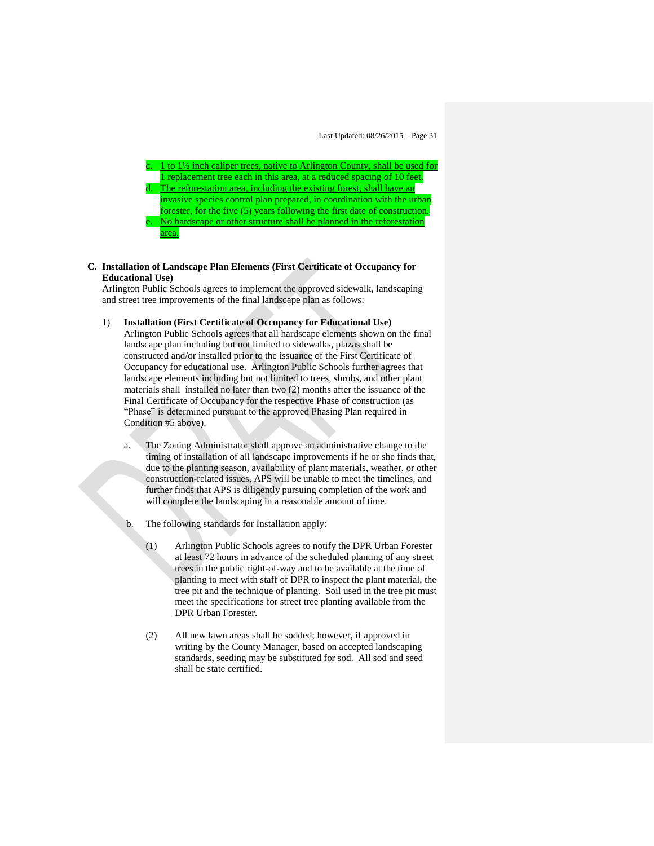

#### **C. Installation of Landscape Plan Elements (First Certificate of Occupancy for Educational Use)**

Arlington Public Schools agrees to implement the approved sidewalk, landscaping and street tree improvements of the final landscape plan as follows:

1) **Installation (First Certificate of Occupancy for Educational Use)**

Arlington Public Schools agrees that all hardscape elements shown on the final landscape plan including but not limited to sidewalks, plazas shall be constructed and/or installed prior to the issuance of the First Certificate of Occupancy for educational use. Arlington Public Schools further agrees that landscape elements including but not limited to trees, shrubs, and other plant materials shall installed no later than two (2) months after the issuance of the Final Certificate of Occupancy for the respective Phase of construction (as "Phase" is determined pursuant to the approved Phasing Plan required in Condition #5 above).

- a. The Zoning Administrator shall approve an administrative change to the timing of installation of all landscape improvements if he or she finds that, due to the planting season, availability of plant materials, weather, or other construction-related issues, APS will be unable to meet the timelines, and further finds that APS is diligently pursuing completion of the work and will complete the landscaping in a reasonable amount of time.
- b. The following standards for Installation apply:
	- (1) Arlington Public Schools agrees to notify the DPR Urban Forester at least 72 hours in advance of the scheduled planting of any street trees in the public right-of-way and to be available at the time of planting to meet with staff of DPR to inspect the plant material, the tree pit and the technique of planting. Soil used in the tree pit must meet the specifications for street tree planting available from the DPR Urban Forester.
	- (2) All new lawn areas shall be sodded; however, if approved in writing by the County Manager, based on accepted landscaping standards, seeding may be substituted for sod. All sod and seed shall be state certified.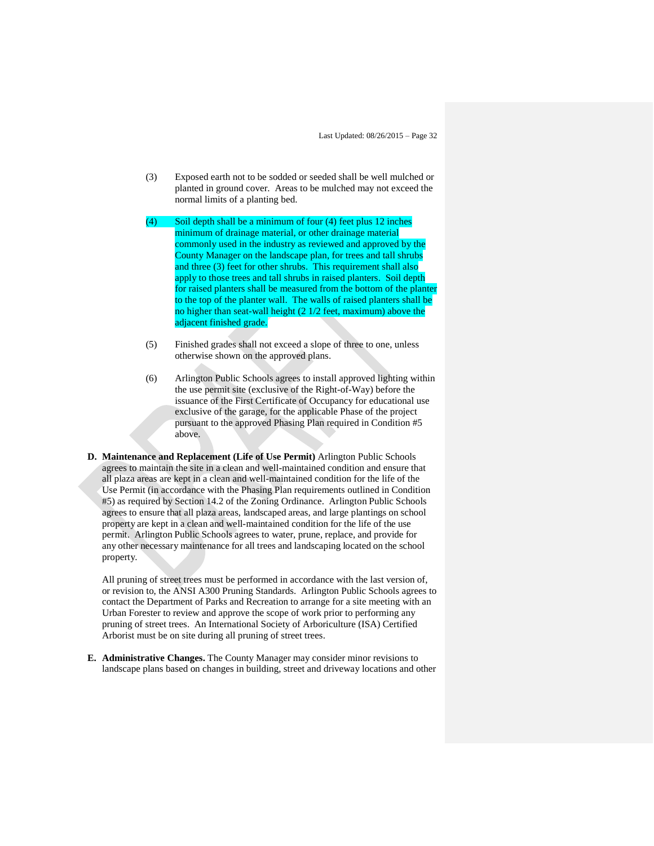- (3) Exposed earth not to be sodded or seeded shall be well mulched or planted in ground cover. Areas to be mulched may not exceed the normal limits of a planting bed.
- (4) Soil depth shall be a minimum of four (4) feet plus 12 inches minimum of drainage material, or other drainage material commonly used in the industry as reviewed and approved by the County Manager on the landscape plan, for trees and tall shrubs and three (3) feet for other shrubs. This requirement shall also apply to those trees and tall shrubs in raised planters. Soil depth for raised planters shall be measured from the bottom of the planter to the top of the planter wall. The walls of raised planters shall be no higher than seat-wall height (2 1/2 feet, maximum) above the adjacent finished grade.
- (5) Finished grades shall not exceed a slope of three to one, unless otherwise shown on the approved plans.
- (6) Arlington Public Schools agrees to install approved lighting within the use permit site (exclusive of the Right-of-Way) before the issuance of the First Certificate of Occupancy for educational use exclusive of the garage, for the applicable Phase of the project pursuant to the approved Phasing Plan required in Condition #5 above.
- **D. Maintenance and Replacement (Life of Use Permit)** Arlington Public Schools agrees to maintain the site in a clean and well-maintained condition and ensure that all plaza areas are kept in a clean and well-maintained condition for the life of the Use Permit (in accordance with the Phasing Plan requirements outlined in Condition #5) as required by Section 14.2 of the Zoning Ordinance. Arlington Public Schools agrees to ensure that all plaza areas, landscaped areas, and large plantings on school property are kept in a clean and well-maintained condition for the life of the use permit. Arlington Public Schools agrees to water, prune, replace, and provide for any other necessary maintenance for all trees and landscaping located on the school property.

All pruning of street trees must be performed in accordance with the last version of, or revision to, the ANSI A300 Pruning Standards. Arlington Public Schools agrees to contact the Department of Parks and Recreation to arrange for a site meeting with an Urban Forester to review and approve the scope of work prior to performing any pruning of street trees. An International Society of Arboriculture (ISA) Certified Arborist must be on site during all pruning of street trees.

**E. Administrative Changes.** The County Manager may consider minor revisions to landscape plans based on changes in building, street and driveway locations and other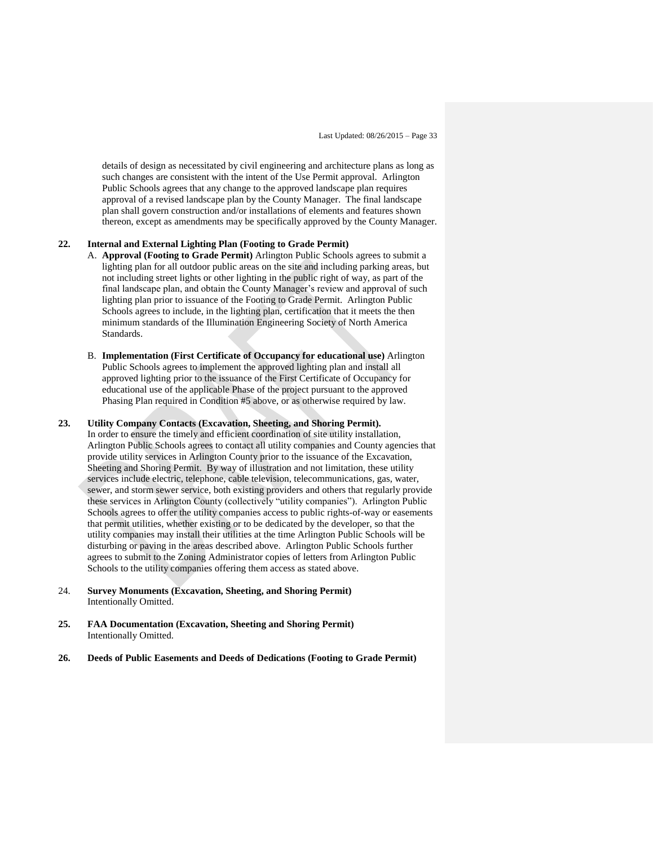details of design as necessitated by civil engineering and architecture plans as long as such changes are consistent with the intent of the Use Permit approval. Arlington Public Schools agrees that any change to the approved landscape plan requires approval of a revised landscape plan by the County Manager. The final landscape plan shall govern construction and/or installations of elements and features shown thereon, except as amendments may be specifically approved by the County Manager.

### **22. Internal and External Lighting Plan (Footing to Grade Permit)**

- A. **Approval (Footing to Grade Permit)** Arlington Public Schools agrees to submit a lighting plan for all outdoor public areas on the site and including parking areas, but not including street lights or other lighting in the public right of way, as part of the final landscape plan, and obtain the County Manager's review and approval of such lighting plan prior to issuance of the Footing to Grade Permit. Arlington Public Schools agrees to include, in the lighting plan, certification that it meets the then minimum standards of the Illumination Engineering Society of North America Standards.
- B. **Implementation (First Certificate of Occupancy for educational use)** Arlington Public Schools agrees to implement the approved lighting plan and install all approved lighting prior to the issuance of the First Certificate of Occupancy for educational use of the applicable Phase of the project pursuant to the approved Phasing Plan required in Condition #5 above, or as otherwise required by law.

#### **23. Utility Company Contacts (Excavation, Sheeting, and Shoring Permit).** In order to ensure the timely and efficient coordination of site utility installation, Arlington Public Schools agrees to contact all utility companies and County agencies that provide utility services in Arlington County prior to the issuance of the Excavation, Sheeting and Shoring Permit. By way of illustration and not limitation, these utility services include electric, telephone, cable television, telecommunications, gas, water, sewer, and storm sewer service, both existing providers and others that regularly provide these services in Arlington County (collectively "utility companies"). Arlington Public Schools agrees to offer the utility companies access to public rights-of-way or easements that permit utilities, whether existing or to be dedicated by the developer, so that the utility companies may install their utilities at the time Arlington Public Schools will be disturbing or paving in the areas described above. Arlington Public Schools further agrees to submit to the Zoning Administrator copies of letters from Arlington Public Schools to the utility companies offering them access as stated above.

- 24. **Survey Monuments (Excavation, Sheeting, and Shoring Permit)** Intentionally Omitted.
- **25. FAA Documentation (Excavation, Sheeting and Shoring Permit)** Intentionally Omitted.
- **26. Deeds of Public Easements and Deeds of Dedications (Footing to Grade Permit)**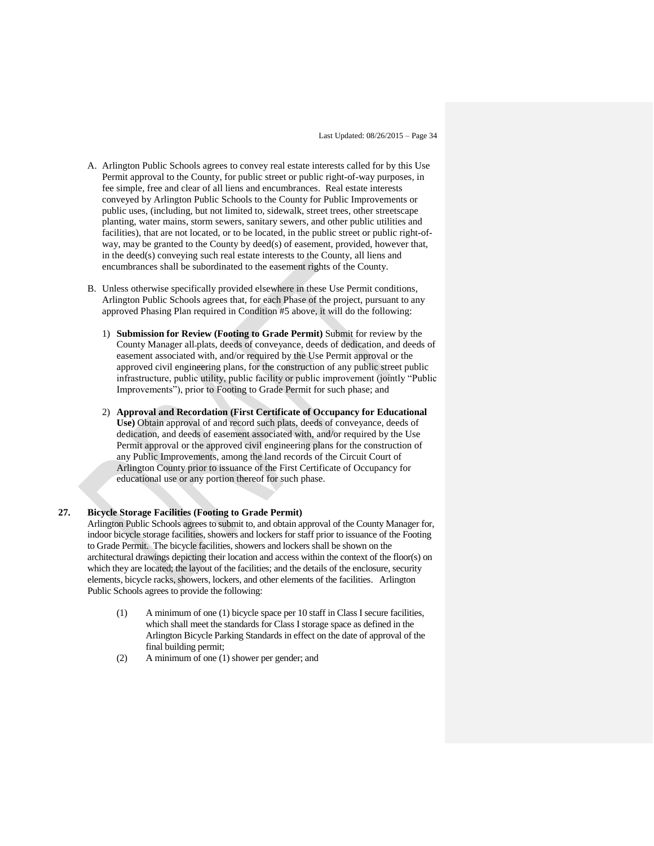- A. Arlington Public Schools agrees to convey real estate interests called for by this Use Permit approval to the County, for public street or public right-of-way purposes, in fee simple, free and clear of all liens and encumbrances. Real estate interests conveyed by Arlington Public Schools to the County for Public Improvements or public uses, (including, but not limited to, sidewalk, street trees, other streetscape planting, water mains, storm sewers, sanitary sewers, and other public utilities and facilities), that are not located, or to be located, in the public street or public right-ofway, may be granted to the County by deed(s) of easement, provided, however that, in the deed(s) conveying such real estate interests to the County, all liens and encumbrances shall be subordinated to the easement rights of the County.
- B. Unless otherwise specifically provided elsewhere in these Use Permit conditions, Arlington Public Schools agrees that, for each Phase of the project, pursuant to any approved Phasing Plan required in Condition #5 above, it will do the following:
	- 1) **Submission for Review (Footing to Grade Permit)** Submit for review by the County Manager all plats, deeds of conveyance, deeds of dedication, and deeds of easement associated with, and/or required by the Use Permit approval or the approved civil engineering plans, for the construction of any public street public infrastructure, public utility, public facility or public improvement (jointly "Public Improvements"), prior to Footing to Grade Permit for such phase; and
	- 2) **Approval and Recordation (First Certificate of Occupancy for Educational Use)** Obtain approval of and record such plats, deeds of conveyance, deeds of dedication, and deeds of easement associated with, and/or required by the Use Permit approval or the approved civil engineering plans for the construction of any Public Improvements, among the land records of the Circuit Court of Arlington County prior to issuance of the First Certificate of Occupancy for educational use or any portion thereof for such phase.

#### **27. Bicycle Storage Facilities (Footing to Grade Permit)**

Arlington Public Schools agrees to submit to, and obtain approval of the County Manager for, indoor bicycle storage facilities, showers and lockers for staff prior to issuance of the Footing to Grade Permit. The bicycle facilities, showers and lockers shall be shown on the architectural drawings depicting their location and access within the context of the floor(s) on which they are located; the layout of the facilities; and the details of the enclosure, security elements, bicycle racks, showers, lockers, and other elements of the facilities. Arlington Public Schools agrees to provide the following:

- (1) A minimum of one (1) bicycle space per 10 staff in Class I secure facilities, which shall meet the standards for Class I storage space as defined in the Arlington Bicycle Parking Standards in effect on the date of approval of the final building permit;
- (2) A minimum of one (1) shower per gender; and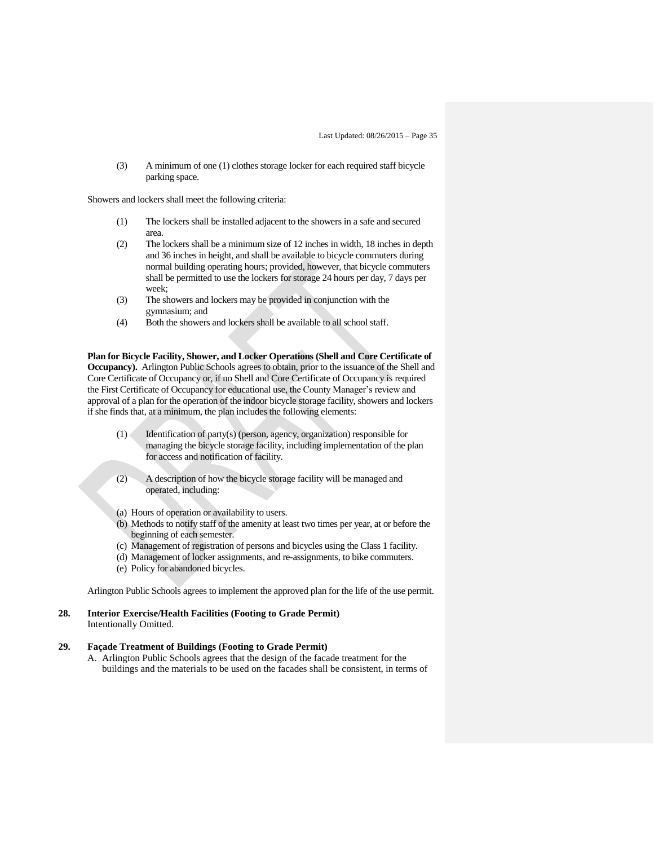(3) A minimum of one (1) clothes storage locker for each required staff bicycle parking space.

Showers and lockers shall meet the following criteria:

- (1) The lockers shall be installed adjacent to the showers in a safe and secured area.
- (2) The lockers shall be a minimum size of 12 inches in width, 18 inches in depth and 36 inches in height, and shall be available to bicycle commuters during normal building operating hours; provided, however, that bicycle commuters shall be permitted to use the lockers for storage 24 hours per day, 7 days per week;
- (3) The showers and lockers may be provided in conjunction with the gymnasium; and
- (4) Both the showers and lockers shall be available to all school staff.

**Plan for Bicycle Facility, Shower, and Locker Operations (Shell and Core Certificate of Occupancy).** Arlington Public Schools agrees to obtain, prior to the issuance of the Shell and Core Certificate of Occupancy or, if no Shell and Core Certificate of Occupancy is required the First Certificate of Occupancy for educational use, the County Manager's review and approval of a plan for the operation of the indoor bicycle storage facility, showers and lockers if she finds that, at a minimum, the plan includes the following elements:

- (1) Identification of party(s) (person, agency, organization) responsible for managing the bicycle storage facility, including implementation of the plan for access and notification of facility.
- (2) A description of how the bicycle storage facility will be managed and operated, including:
- (a) Hours of operation or availability to users.
- (b) Methods to notify staff of the amenity at least two times per year, at or before the beginning of each semester.
- (c) Management of registration of persons and bicycles using the Class 1 facility.
- (d) Management of locker assignments, and re-assignments, to bike commuters.
- (e) Policy for abandoned bicycles.

Arlington Public Schools agrees to implement the approved plan for the life of the use permit.

#### **28. Interior Exercise/Health Facilities (Footing to Grade Permit)** Intentionally Omitted.

## **29. Façade Treatment of Buildings (Footing to Grade Permit)**

A. Arlington Public Schools agrees that the design of the facade treatment for the buildings and the materials to be used on the facades shall be consistent, in terms of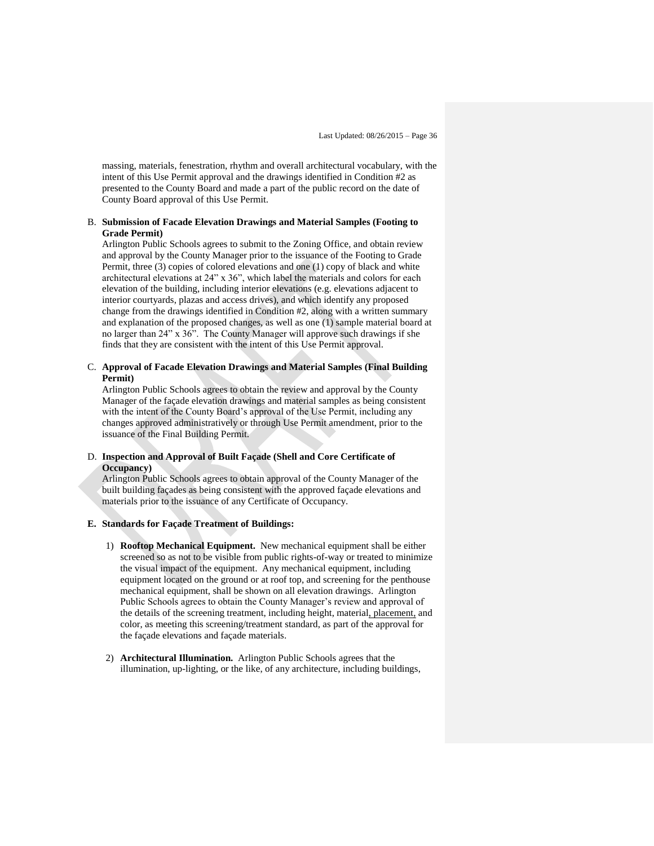massing, materials, fenestration, rhythm and overall architectural vocabulary, with the intent of this Use Permit approval and the drawings identified in Condition #2 as presented to the County Board and made a part of the public record on the date of County Board approval of this Use Permit.

#### B. **Submission of Facade Elevation Drawings and Material Samples (Footing to Grade Permit)**

Arlington Public Schools agrees to submit to the Zoning Office, and obtain review and approval by the County Manager prior to the issuance of the Footing to Grade Permit, three (3) copies of colored elevations and one (1) copy of black and white architectural elevations at 24" x 36", which label the materials and colors for each elevation of the building, including interior elevations (e.g. elevations adjacent to interior courtyards, plazas and access drives), and which identify any proposed change from the drawings identified in Condition #2, along with a written summary and explanation of the proposed changes, as well as one (1) sample material board at no larger than 24" x 36". The County Manager will approve such drawings if she finds that they are consistent with the intent of this Use Permit approval.

#### C. **Approval of Facade Elevation Drawings and Material Samples (Final Building Permit)**

Arlington Public Schools agrees to obtain the review and approval by the County Manager of the façade elevation drawings and material samples as being consistent with the intent of the County Board's approval of the Use Permit, including any changes approved administratively or through Use Permit amendment, prior to the issuance of the Final Building Permit.

#### D. **Inspection and Approval of Built Façade (Shell and Core Certificate of Occupancy)**

Arlington Public Schools agrees to obtain approval of the County Manager of the built building façades as being consistent with the approved façade elevations and materials prior to the issuance of any Certificate of Occupancy.

#### **E. Standards for Façade Treatment of Buildings:**

- 1) **Rooftop Mechanical Equipment.** New mechanical equipment shall be either screened so as not to be visible from public rights-of-way or treated to minimize the visual impact of the equipment. Any mechanical equipment, including equipment located on the ground or at roof top, and screening for the penthouse mechanical equipment, shall be shown on all elevation drawings. Arlington Public Schools agrees to obtain the County Manager's review and approval of the details of the screening treatment, including height, material, placement, and color, as meeting this screening/treatment standard, as part of the approval for the façade elevations and façade materials.
- 2) **Architectural Illumination.** Arlington Public Schools agrees that the illumination, up-lighting, or the like, of any architecture, including buildings,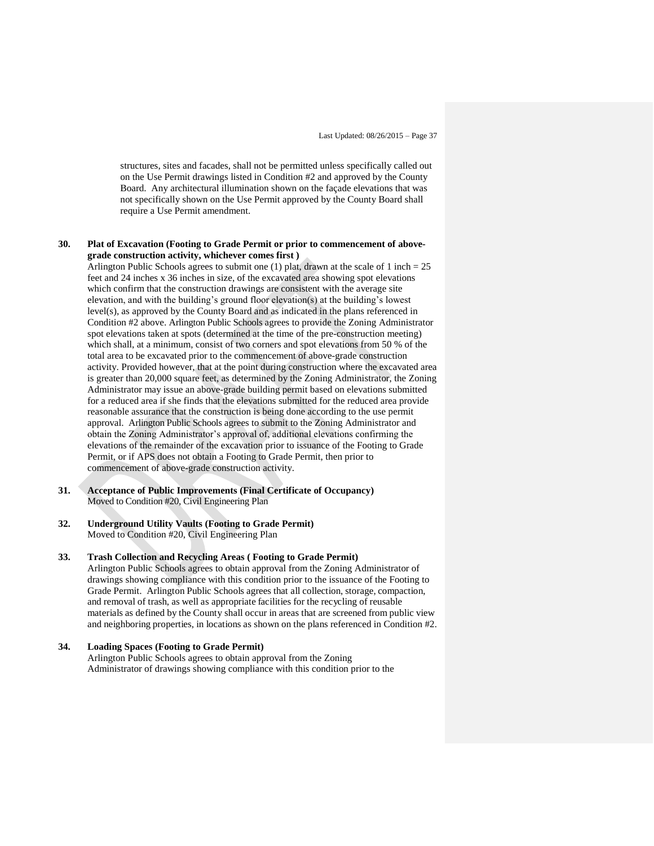structures, sites and facades, shall not be permitted unless specifically called out on the Use Permit drawings listed in Condition #2 and approved by the County Board. Any architectural illumination shown on the façade elevations that was not specifically shown on the Use Permit approved by the County Board shall require a Use Permit amendment.

#### **30. Plat of Excavation (Footing to Grade Permit or prior to commencement of abovegrade construction activity, whichever comes first )**

Arlington Public Schools agrees to submit one  $(1)$  plat, drawn at the scale of 1 inch = 25 feet and 24 inches x 36 inches in size, of the excavated area showing spot elevations which confirm that the construction drawings are consistent with the average site elevation, and with the building's ground floor elevation(s) at the building's lowest level(s), as approved by the County Board and as indicated in the plans referenced in Condition #2 above. Arlington Public Schools agrees to provide the Zoning Administrator spot elevations taken at spots (determined at the time of the pre-construction meeting) which shall, at a minimum, consist of two corners and spot elevations from 50 % of the total area to be excavated prior to the commencement of above-grade construction activity. Provided however, that at the point during construction where the excavated area is greater than 20,000 square feet, as determined by the Zoning Administrator, the Zoning Administrator may issue an above-grade building permit based on elevations submitted for a reduced area if she finds that the elevations submitted for the reduced area provide reasonable assurance that the construction is being done according to the use permit approval. Arlington Public Schools agrees to submit to the Zoning Administrator and obtain the Zoning Administrator's approval of, additional elevations confirming the elevations of the remainder of the excavation prior to issuance of the Footing to Grade Permit, or if APS does not obtain a Footing to Grade Permit, then prior to commencement of above-grade construction activity.

**31. Acceptance of Public Improvements (Final Certificate of Occupancy)** Moved to Condition #20, Civil Engineering Plan

#### **32. Underground Utility Vaults (Footing to Grade Permit)**  Moved to Condition #20, Civil Engineering Plan

#### **33. Trash Collection and Recycling Areas ( Footing to Grade Permit)**

Arlington Public Schools agrees to obtain approval from the Zoning Administrator of drawings showing compliance with this condition prior to the issuance of the Footing to Grade Permit. Arlington Public Schools agrees that all collection, storage, compaction, and removal of trash, as well as appropriate facilities for the recycling of reusable materials as defined by the County shall occur in areas that are screened from public view and neighboring properties, in locations as shown on the plans referenced in Condition #2.

#### **34. Loading Spaces (Footing to Grade Permit)**  Arlington Public Schools agrees to obtain approval from the Zoning Administrator of drawings showing compliance with this condition prior to the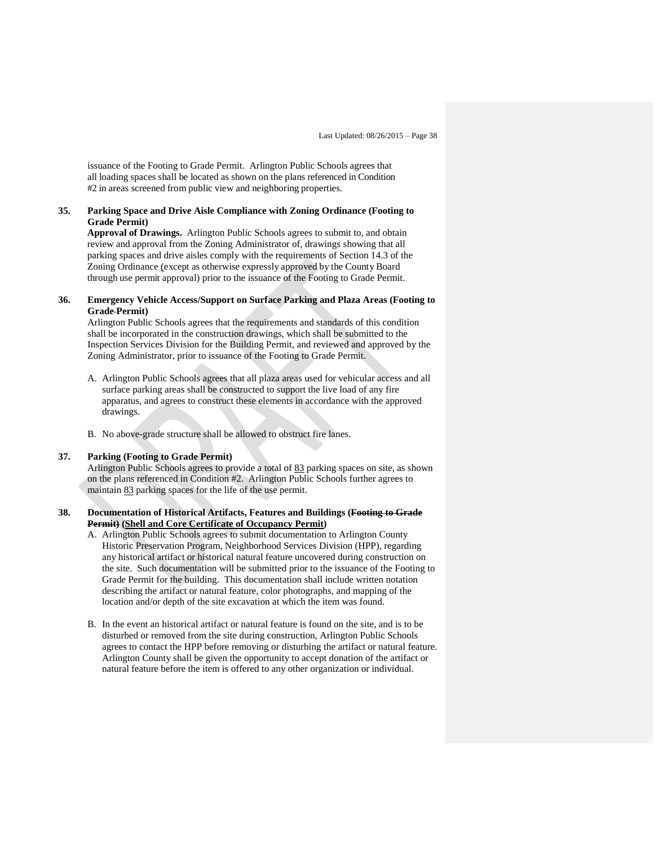issuance of the Footing to Grade Permit. Arlington Public Schools agrees that all loading spaces shall be located as shown on the plans referenced in Condition #2 in areas screened from public view and neighboring properties.

### **35. Parking Space and Drive Aisle Compliance with Zoning Ordinance (Footing to Grade Permit)**

**Approval of Drawings.** Arlington Public Schools agrees to submit to, and obtain review and approval from the Zoning Administrator of, drawings showing that all parking spaces and drive aisles comply with the requirements of Section 14.3 of the Zoning Ordinance (except as otherwise expressly approved by the County Board through use permit approval) prior to the issuance of the Footing to Grade Permit.

#### **36. Emergency Vehicle Access/Support on Surface Parking and Plaza Areas (Footing to Grade Permit)**

Arlington Public Schools agrees that the requirements and standards of this condition shall be incorporated in the construction drawings, which shall be submitted to the Inspection Services Division for the Building Permit, and reviewed and approved by the Zoning Administrator, prior to issuance of the Footing to Grade Permit.

- A. Arlington Public Schools agrees that all plaza areas used for vehicular access and all surface parking areas shall be constructed to support the live load of any fire apparatus, and agrees to construct these elements in accordance with the approved drawings.
- B. No above-grade structure shall be allowed to obstruct fire lanes.

#### **37. Parking (Footing to Grade Permit)**

Arlington Public Schools agrees to provide a total of 83 parking spaces on site, as shown on the plans referenced in Condition #2. Arlington Public Schools further agrees to maintain 83 parking spaces for the life of the use permit.

#### **38. Documentation of Historical Artifacts, Features and Buildings (Footing to Grade Permit) (Shell and Core Certificate of Occupancy Permit)**

- A. Arlington Public Schools agrees to submit documentation to Arlington County Historic Preservation Program, Neighborhood Services Division (HPP), regarding any historical artifact or historical natural feature uncovered during construction on the site. Such documentation will be submitted prior to the issuance of the Footing to Grade Permit for the building. This documentation shall include written notation describing the artifact or natural feature, color photographs, and mapping of the location and/or depth of the site excavation at which the item was found.
- B. In the event an historical artifact or natural feature is found on the site, and is to be disturbed or removed from the site during construction, Arlington Public Schools agrees to contact the HPP before removing or disturbing the artifact or natural feature. Arlington County shall be given the opportunity to accept donation of the artifact or natural feature before the item is offered to any other organization or individual.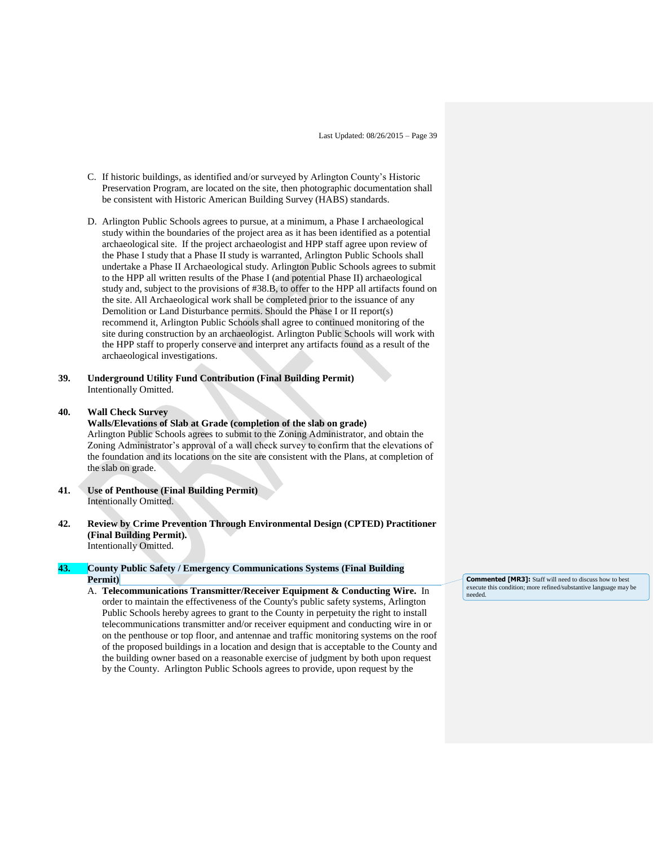- C. If historic buildings, as identified and/or surveyed by Arlington County's Historic Preservation Program, are located on the site, then photographic documentation shall be consistent with Historic American Building Survey (HABS) standards.
- D. Arlington Public Schools agrees to pursue, at a minimum, a Phase I archaeological study within the boundaries of the project area as it has been identified as a potential archaeological site. If the project archaeologist and HPP staff agree upon review of the Phase I study that a Phase II study is warranted, Arlington Public Schools shall undertake a Phase II Archaeological study. Arlington Public Schools agrees to submit to the HPP all written results of the Phase I (and potential Phase II) archaeological study and, subject to the provisions of #38.B, to offer to the HPP all artifacts found on the site. All Archaeological work shall be completed prior to the issuance of any Demolition or Land Disturbance permits. Should the Phase I or II report(s) recommend it, Arlington Public Schools shall agree to continued monitoring of the site during construction by an archaeologist. Arlington Public Schools will work with the HPP staff to properly conserve and interpret any artifacts found as a result of the archaeological investigations.
- **39. Underground Utility Fund Contribution (Final Building Permit)** Intentionally Omitted.

#### **40. Wall Check Survey**

**Walls/Elevations of Slab at Grade (completion of the slab on grade)**  Arlington Public Schools agrees to submit to the Zoning Administrator, and obtain the Zoning Administrator's approval of a wall check survey to confirm that the elevations of the foundation and its locations on the site are consistent with the Plans, at completion of the slab on grade.

- **41. Use of Penthouse (Final Building Permit)** Intentionally Omitted.
- **42. Review by Crime Prevention Through Environmental Design (CPTED) Practitioner (Final Building Permit).**  Intentionally Omitted.

#### **43. County Public Safety / Emergency Communications Systems (Final Building Permit)**

A. **Telecommunications Transmitter/Receiver Equipment & Conducting Wire.** In order to maintain the effectiveness of the County's public safety systems, Arlington Public Schools hereby agrees to grant to the County in perpetuity the right to install telecommunications transmitter and/or receiver equipment and conducting wire in or on the penthouse or top floor, and antennae and traffic monitoring systems on the roof of the proposed buildings in a location and design that is acceptable to the County and the building owner based on a reasonable exercise of judgment by both upon request by the County. Arlington Public Schools agrees to provide, upon request by the

**Commented [MR3]:** Staff will need to discuss how to best execute this condition; more refined/substantive language may be needed.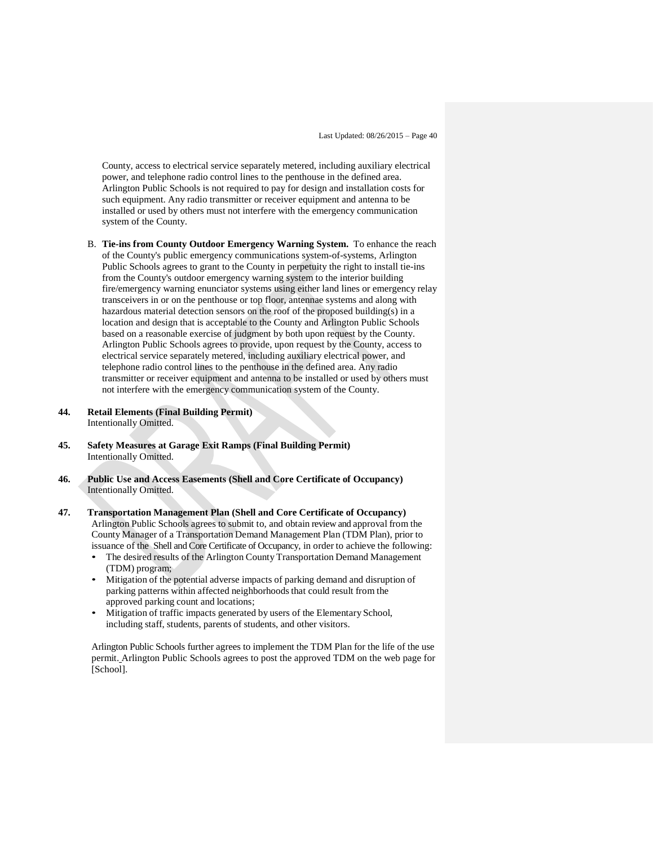County, access to electrical service separately metered, including auxiliary electrical power, and telephone radio control lines to the penthouse in the defined area. Arlington Public Schools is not required to pay for design and installation costs for such equipment. Any radio transmitter or receiver equipment and antenna to be installed or used by others must not interfere with the emergency communication system of the County.

- B. **Tie-ins from County Outdoor Emergency Warning System.** To enhance the reach of the County's public emergency communications system-of-systems, Arlington Public Schools agrees to grant to the County in perpetuity the right to install tie-ins from the County's outdoor emergency warning system to the interior building fire/emergency warning enunciator systems using either land lines or emergency relay transceivers in or on the penthouse or top floor, antennae systems and along with hazardous material detection sensors on the roof of the proposed building(s) in a location and design that is acceptable to the County and Arlington Public Schools based on a reasonable exercise of judgment by both upon request by the County. Arlington Public Schools agrees to provide, upon request by the County, access to electrical service separately metered, including auxiliary electrical power, and telephone radio control lines to the penthouse in the defined area. Any radio transmitter or receiver equipment and antenna to be installed or used by others must not interfere with the emergency communication system of the County.
- **44. Retail Elements (Final Building Permit)**  Intentionally Omitted.
- **45. Safety Measures at Garage Exit Ramps (Final Building Permit)** Intentionally Omitted.
- **46. Public Use and Access Easements (Shell and Core Certificate of Occupancy)** Intentionally Omitted.
- **47. Transportation Management Plan (Shell and Core Certificate of Occupancy)**  Arlington Public Schools agrees to submit to, and obtain review and approval from the County Manager of a Transportation Demand Management Plan (TDM Plan), prior to issuance of the Shell and Core Certificate of Occupancy, in order to achieve the following:
	- The desired results of the Arlington County Transportation Demand Management (TDM) program;
	- Mitigation of the potential adverse impacts of parking demand and disruption of parking patterns within affected neighborhoods that could result from the approved parking count and locations;
	- Mitigation of traffic impacts generated by users of the Elementary School, including staff, students, parents of students, and other visitors.

Arlington Public Schools further agrees to implement the TDM Plan for the life of the use permit. Arlington Public Schools agrees to post the approved TDM on the web page for [School].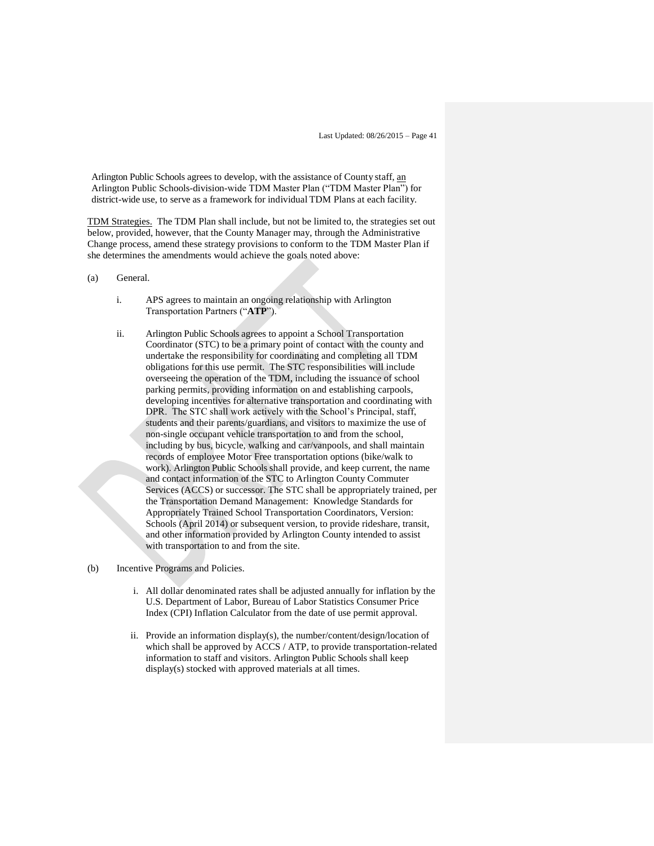Arlington Public Schools agrees to develop, with the assistance of County staff, an Arlington Public Schools-division-wide TDM Master Plan ("TDM Master Plan") for district-wide use, to serve as a framework for individual TDM Plans at each facility.

TDM Strategies. The TDM Plan shall include, but not be limited to, the strategies set out below, provided, however, that the County Manager may, through the Administrative Change process, amend these strategy provisions to conform to the TDM Master Plan if she determines the amendments would achieve the goals noted above:

- (a) General.
	- i. APS agrees to maintain an ongoing relationship with Arlington Transportation Partners ("**ATP**").
	- ii. Arlington Public Schools agrees to appoint a School Transportation Coordinator (STC) to be a primary point of contact with the county and undertake the responsibility for coordinating and completing all TDM obligations for this use permit. The STC responsibilities will include overseeing the operation of the TDM, including the issuance of school parking permits, providing information on and establishing carpools, developing incentives for alternative transportation and coordinating with DPR. The STC shall work actively with the School's Principal, staff, students and their parents/guardians, and visitors to maximize the use of non-single occupant vehicle transportation to and from the school, including by bus, bicycle, walking and car/vanpools, and shall maintain records of employee Motor Free transportation options (bike/walk to work). Arlington Public Schools shall provide, and keep current, the name and contact information of the STC to Arlington County Commuter Services (ACCS) or successor. The STC shall be appropriately trained, per the Transportation Demand Management: Knowledge Standards for Appropriately Trained School Transportation Coordinators, Version: Schools (April 2014) or subsequent version, to provide rideshare, transit, and other information provided by Arlington County intended to assist with transportation to and from the site.
- (b) Incentive Programs and Policies.
	- i. All dollar denominated rates shall be adjusted annually for inflation by the U.S. Department of Labor, Bureau of Labor Statistics Consumer Price Index (CPI) Inflation Calculator from the date of use permit approval.
	- ii. Provide an information display(s), the number/content/design/location of which shall be approved by ACCS / ATP, to provide transportation-related information to staff and visitors. Arlington Public Schools shall keep display(s) stocked with approved materials at all times.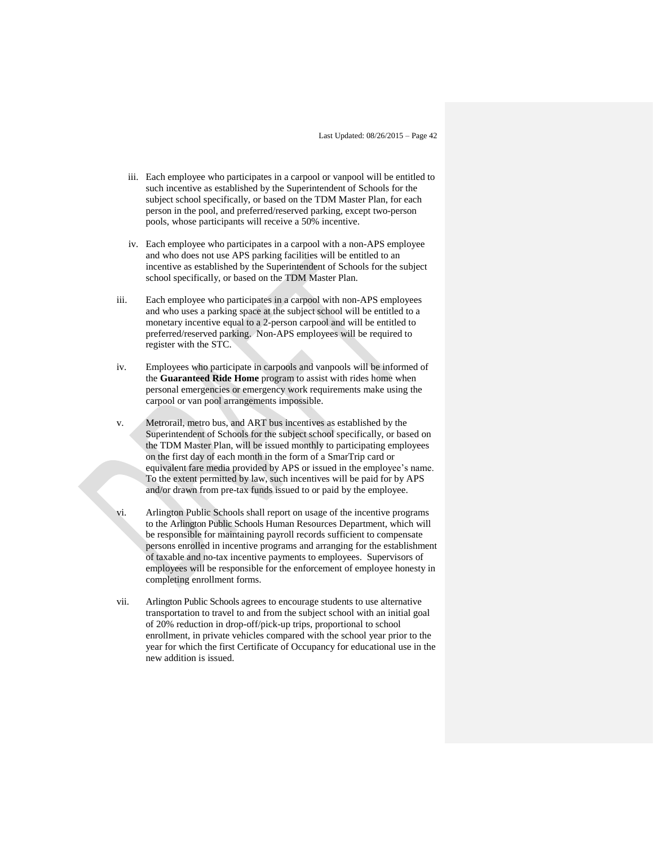- iii. Each employee who participates in a carpool or vanpool will be entitled to such incentive as established by the Superintendent of Schools for the subject school specifically, or based on the TDM Master Plan, for each person in the pool, and preferred/reserved parking, except two-person pools, whose participants will receive a 50% incentive.
- iv. Each employee who participates in a carpool with a non-APS employee and who does not use APS parking facilities will be entitled to an incentive as established by the Superintendent of Schools for the subject school specifically, or based on the TDM Master Plan.
- iii. Each employee who participates in a carpool with non-APS employees and who uses a parking space at the subject school will be entitled to a monetary incentive equal to a 2-person carpool and will be entitled to preferred/reserved parking. Non-APS employees will be required to register with the STC.
- iv. Employees who participate in carpools and vanpools will be informed of the **Guaranteed Ride Home** program to assist with rides home when personal emergencies or emergency work requirements make using the carpool or van pool arrangements impossible.
- v. Metrorail, metro bus, and ART bus incentives as established by the Superintendent of Schools for the subject school specifically, or based on the TDM Master Plan, will be issued monthly to participating employees on the first day of each month in the form of a SmarTrip card or equivalent fare media provided by APS or issued in the employee's name. To the extent permitted by law, such incentives will be paid for by APS and/or drawn from pre-tax funds issued to or paid by the employee.
- vi. Arlington Public Schools shall report on usage of the incentive programs to the Arlington Public Schools Human Resources Department, which will be responsible for maintaining payroll records sufficient to compensate persons enrolled in incentive programs and arranging for the establishment of taxable and no-tax incentive payments to employees. Supervisors of employees will be responsible for the enforcement of employee honesty in completing enrollment forms.
- vii. Arlington Public Schools agrees to encourage students to use alternative transportation to travel to and from the subject school with an initial goal of 20% reduction in drop-off/pick-up trips, proportional to school enrollment, in private vehicles compared with the school year prior to the year for which the first Certificate of Occupancy for educational use in the new addition is issued.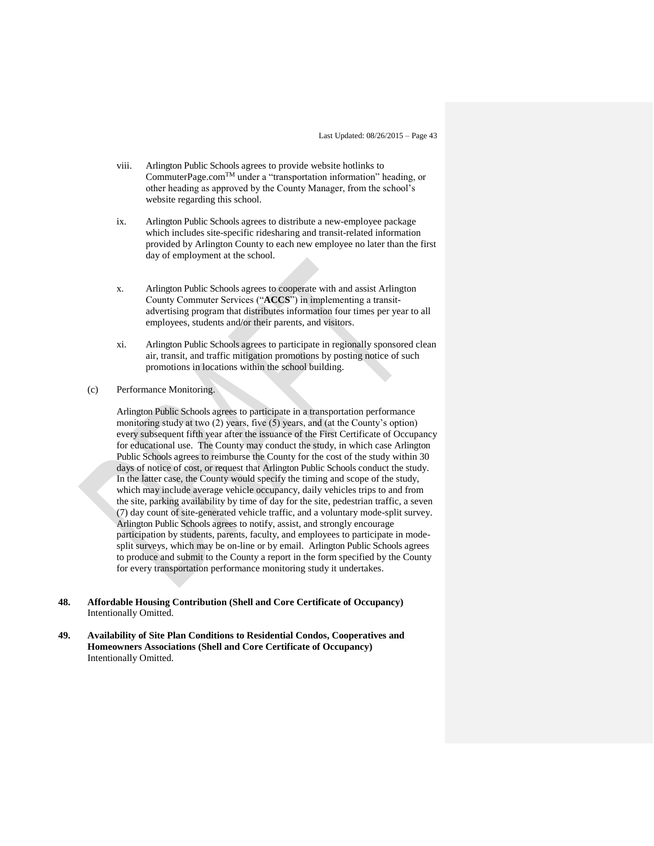- viii. Arlington Public Schools agrees to provide website hotlinks to CommuterPage.comTM under a "transportation information" heading, or other heading as approved by the County Manager, from the school's website regarding this school.
- ix. Arlington Public Schools agrees to distribute a new-employee package which includes site-specific ridesharing and transit-related information provided by Arlington County to each new employee no later than the first day of employment at the school.
- x. Arlington Public Schools agrees to cooperate with and assist Arlington County Commuter Services ("**ACCS**") in implementing a transitadvertising program that distributes information four times per year to all employees, students and/or their parents, and visitors.
- xi. Arlington Public Schools agrees to participate in regionally sponsored clean air, transit, and traffic mitigation promotions by posting notice of such promotions in locations within the school building.
- (c) Performance Monitoring.

Arlington Public Schools agrees to participate in a transportation performance monitoring study at two (2) years, five (5) years, and (at the County's option) every subsequent fifth year after the issuance of the First Certificate of Occupancy for educational use. The County may conduct the study, in which case Arlington Public Schools agrees to reimburse the County for the cost of the study within 30 days of notice of cost, or request that Arlington Public Schools conduct the study. In the latter case, the County would specify the timing and scope of the study, which may include average vehicle occupancy, daily vehicles trips to and from the site, parking availability by time of day for the site, pedestrian traffic, a seven (7) day count of site-generated vehicle traffic, and a voluntary mode-split survey. Arlington Public Schools agrees to notify, assist, and strongly encourage participation by students, parents, faculty, and employees to participate in modesplit surveys, which may be on-line or by email. Arlington Public Schools agrees to produce and submit to the County a report in the form specified by the County for every transportation performance monitoring study it undertakes.

- **48. Affordable Housing Contribution (Shell and Core Certificate of Occupancy)** Intentionally Omitted.
- **49. Availability of Site Plan Conditions to Residential Condos, Cooperatives and Homeowners Associations (Shell and Core Certificate of Occupancy)**  Intentionally Omitted.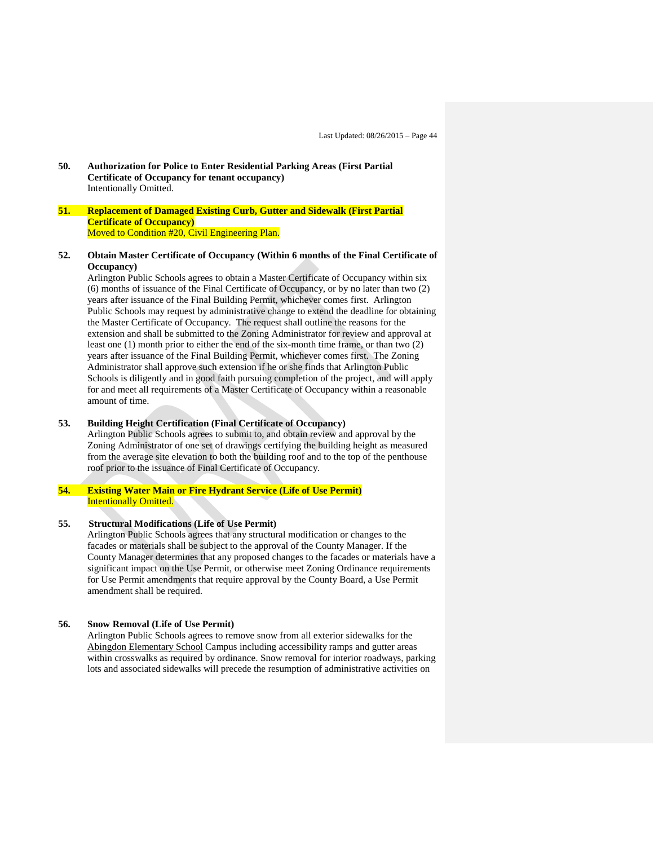**50. Authorization for Police to Enter Residential Parking Areas (First Partial Certificate of Occupancy for tenant occupancy)** Intentionally Omitted.

#### **51. Replacement of Damaged Existing Curb, Gutter and Sidewalk (First Partial Certificate of Occupancy)** Moved to Condition #20, Civil Engineering Plan.

#### **52. Obtain Master Certificate of Occupancy (Within 6 months of the Final Certificate of Occupancy)**

Arlington Public Schools agrees to obtain a Master Certificate of Occupancy within six (6) months of issuance of the Final Certificate of Occupancy, or by no later than two (2) years after issuance of the Final Building Permit, whichever comes first. Arlington Public Schools may request by administrative change to extend the deadline for obtaining the Master Certificate of Occupancy. The request shall outline the reasons for the extension and shall be submitted to the Zoning Administrator for review and approval at least one (1) month prior to either the end of the six-month time frame, or than two (2) years after issuance of the Final Building Permit, whichever comes first. The Zoning Administrator shall approve such extension if he or she finds that Arlington Public Schools is diligently and in good faith pursuing completion of the project, and will apply for and meet all requirements of a Master Certificate of Occupancy within a reasonable amount of time.

#### **53. Building Height Certification (Final Certificate of Occupancy)**

Arlington Public Schools agrees to submit to, and obtain review and approval by the Zoning Administrator of one set of drawings certifying the building height as measured from the average site elevation to both the building roof and to the top of the penthouse roof prior to the issuance of Final Certificate of Occupancy.

# **54. Existing Water Main or Fire Hydrant Service (Life of Use Permit)** Intentionally Omitted.

#### **55. Structural Modifications (Life of Use Permit)**

Arlington Public Schools agrees that any structural modification or changes to the facades or materials shall be subject to the approval of the County Manager. If the County Manager determines that any proposed changes to the facades or materials have a significant impact on the Use Permit, or otherwise meet Zoning Ordinance requirements for Use Permit amendments that require approval by the County Board, a Use Permit amendment shall be required.

#### **56. Snow Removal (Life of Use Permit)**

Arlington Public Schools agrees to remove snow from all exterior sidewalks for the Abingdon Elementary School Campus including accessibility ramps and gutter areas within crosswalks as required by ordinance. Snow removal for interior roadways, parking lots and associated sidewalks will precede the resumption of administrative activities on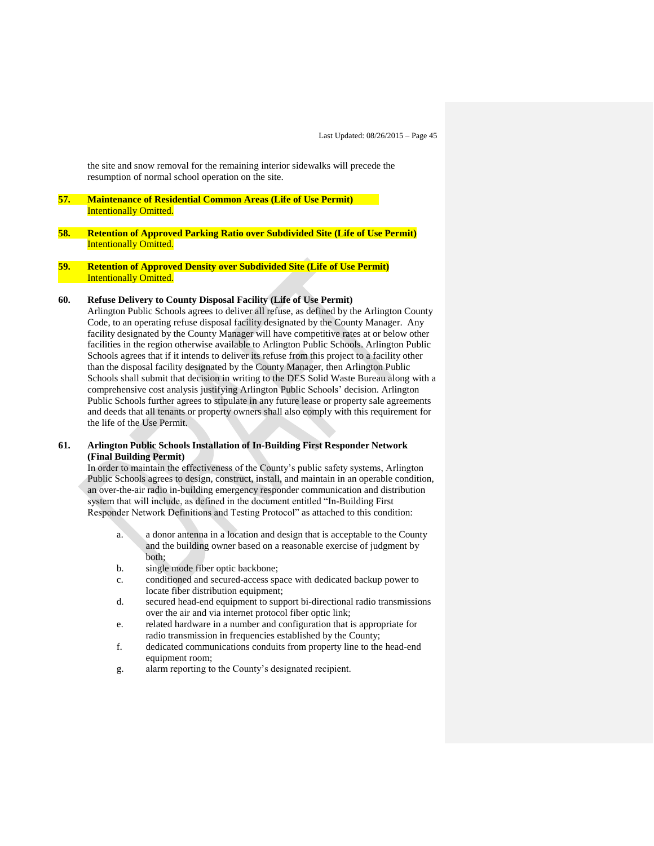the site and snow removal for the remaining interior sidewalks will precede the resumption of normal school operation on the site.

- **57. Maintenance of Residential Common Areas (Life of Use Permit)** Intentionally Omitted.
- **58. Retention of Approved Parking Ratio over Subdivided Site (Life of Use Permit)** Intentionally Omitted.
- **59. Retention of Approved Density over Subdivided Site (Life of Use Permit)** Intentionally Omitted.

## **60. Refuse Delivery to County Disposal Facility (Life of Use Permit)**

Arlington Public Schools agrees to deliver all refuse, as defined by the Arlington County Code, to an operating refuse disposal facility designated by the County Manager. Any facility designated by the County Manager will have competitive rates at or below other facilities in the region otherwise available to Arlington Public Schools. Arlington Public Schools agrees that if it intends to deliver its refuse from this project to a facility other than the disposal facility designated by the County Manager, then Arlington Public Schools shall submit that decision in writing to the DES Solid Waste Bureau along with a comprehensive cost analysis justifying Arlington Public Schools' decision. Arlington Public Schools further agrees to stipulate in any future lease or property sale agreements and deeds that all tenants or property owners shall also comply with this requirement for the life of the Use Permit.

#### **61. Arlington Public Schools Installation of In-Building First Responder Network (Final Building Permit)**

In order to maintain the effectiveness of the County's public safety systems, Arlington Public Schools agrees to design, construct, install, and maintain in an operable condition, an over-the-air radio in-building emergency responder communication and distribution system that will include, as defined in the document entitled "In-Building First Responder Network Definitions and Testing Protocol" as attached to this condition:

- a. a donor antenna in a location and design that is acceptable to the County and the building owner based on a reasonable exercise of judgment by both;
- b. single mode fiber optic backbone;
- c. conditioned and secured-access space with dedicated backup power to locate fiber distribution equipment;
- d. secured head-end equipment to support bi-directional radio transmissions over the air and via internet protocol fiber optic link;
- e. related hardware in a number and configuration that is appropriate for radio transmission in frequencies established by the County;
- f. dedicated communications conduits from property line to the head-end equipment room;
- g. alarm reporting to the County's designated recipient.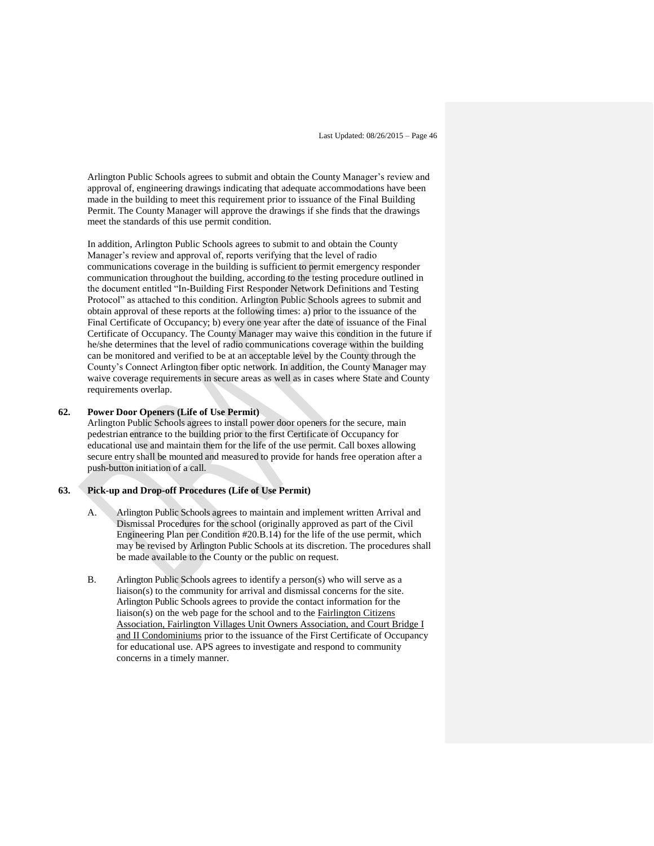Arlington Public Schools agrees to submit and obtain the County Manager's review and approval of, engineering drawings indicating that adequate accommodations have been made in the building to meet this requirement prior to issuance of the Final Building Permit. The County Manager will approve the drawings if she finds that the drawings meet the standards of this use permit condition.

In addition, Arlington Public Schools agrees to submit to and obtain the County Manager's review and approval of, reports verifying that the level of radio communications coverage in the building is sufficient to permit emergency responder communication throughout the building, according to the testing procedure outlined in the document entitled "In-Building First Responder Network Definitions and Testing Protocol" as attached to this condition. Arlington Public Schools agrees to submit and obtain approval of these reports at the following times: a) prior to the issuance of the Final Certificate of Occupancy; b) every one year after the date of issuance of the Final Certificate of Occupancy. The County Manager may waive this condition in the future if he/she determines that the level of radio communications coverage within the building can be monitored and verified to be at an acceptable level by the County through the County's Connect Arlington fiber optic network. In addition, the County Manager may waive coverage requirements in secure areas as well as in cases where State and County requirements overlap.

#### **62. Power Door Openers (Life of Use Permit)**

Arlington Public Schools agrees to install power door openers for the secure, main pedestrian entrance to the building prior to the first Certificate of Occupancy for educational use and maintain them for the life of the use permit. Call boxes allowing secure entry shall be mounted and measured to provide for hands free operation after a push-button initiation of a call.

#### **63. Pick-up and Drop-off Procedures (Life of Use Permit)**

- A. Arlington Public Schools agrees to maintain and implement written Arrival and Dismissal Procedures for the school (originally approved as part of the Civil Engineering Plan per Condition #20.B.14) for the life of the use permit, which may be revised by Arlington Public Schools at its discretion. The procedures shall be made available to the County or the public on request.
- B. Arlington Public Schools agrees to identify a person(s) who will serve as a liaison(s) to the community for arrival and dismissal concerns for the site. Arlington Public Schools agrees to provide the contact information for the liaison(s) on the web page for the school and to the Fairlington Citizens Association, Fairlington Villages Unit Owners Association, and Court Bridge I and II Condominiums prior to the issuance of the First Certificate of Occupancy for educational use. APS agrees to investigate and respond to community concerns in a timely manner.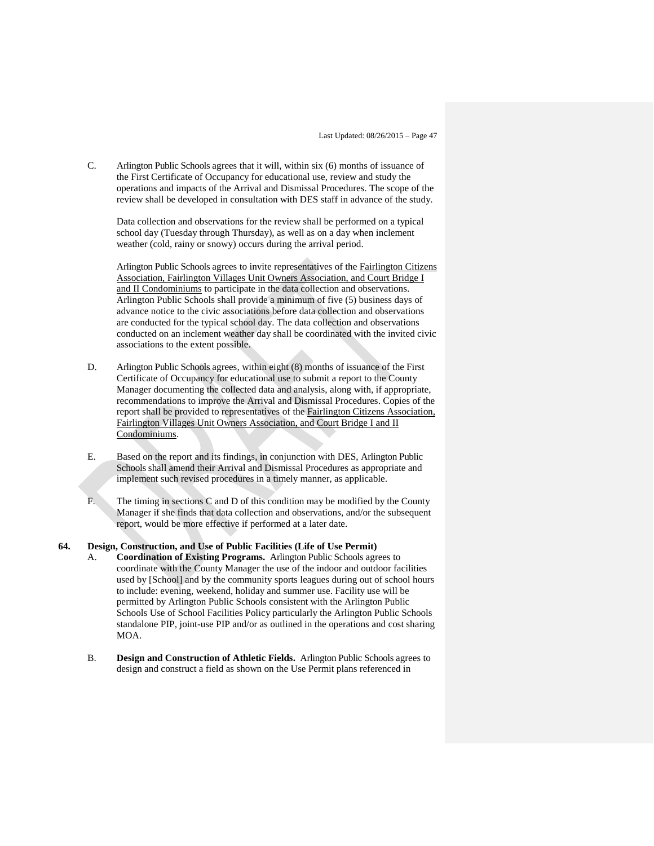C. Arlington Public Schools agrees that it will, within six (6) months of issuance of the First Certificate of Occupancy for educational use, review and study the operations and impacts of the Arrival and Dismissal Procedures. The scope of the review shall be developed in consultation with DES staff in advance of the study.

Data collection and observations for the review shall be performed on a typical school day (Tuesday through Thursday), as well as on a day when inclement weather (cold, rainy or snowy) occurs during the arrival period.

Arlington Public Schools agrees to invite representatives of the Fairlington Citizens Association, Fairlington Villages Unit Owners Association, and Court Bridge I and II Condominiums to participate in the data collection and observations. Arlington Public Schools shall provide a minimum of five (5) business days of advance notice to the civic associations before data collection and observations are conducted for the typical school day. The data collection and observations conducted on an inclement weather day shall be coordinated with the invited civic associations to the extent possible.

- D. Arlington Public Schools agrees, within eight (8) months of issuance of the First Certificate of Occupancy for educational use to submit a report to the County Manager documenting the collected data and analysis, along with, if appropriate, recommendations to improve the Arrival and Dismissal Procedures. Copies of the report shall be provided to representatives of the Fairlington Citizens Association, Fairlington Villages Unit Owners Association, and Court Bridge I and II Condominiums.
- E. Based on the report and its findings, in conjunction with DES, Arlington Public Schools shall amend their Arrival and Dismissal Procedures as appropriate and implement such revised procedures in a timely manner, as applicable.
- F. The timing in sections C and D of this condition may be modified by the County Manager if she finds that data collection and observations, and/or the subsequent report, would be more effective if performed at a later date.

#### **64. Design, Construction, and Use of Public Facilities (Life of Use Permit)**

- A. **Coordination of Existing Programs.** Arlington Public Schools agrees to coordinate with the County Manager the use of the indoor and outdoor facilities used by [School] and by the community sports leagues during out of school hours to include: evening, weekend, holiday and summer use. Facility use will be permitted by Arlington Public Schools consistent with the Arlington Public Schools Use of School Facilities Policy particularly the Arlington Public Schools standalone PIP, joint-use PIP and/or as outlined in the operations and cost sharing MOA.
- B. **Design and Construction of Athletic Fields.** Arlington Public Schools agrees to design and construct a field as shown on the Use Permit plans referenced in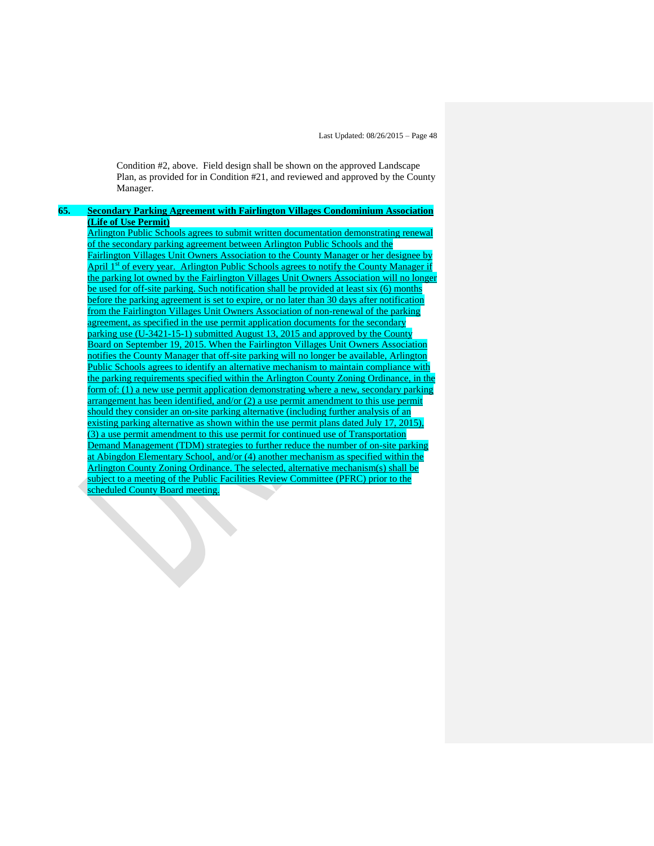Condition #2, above. Field design shall be shown on the approved Landscape Plan, as provided for in Condition #21, and reviewed and approved by the County Manager.

## **65. Secondary Parking Agreement with Fairlington Villages Condominium Association (Life of Use Permit)**

Arlington Public Schools agrees to submit written documentation demonstrating renewal of the secondary parking agreement between Arlington Public Schools and the Fairlington Villages Unit Owners Association to the County Manager or her designee by April 1<sup>st</sup> of every year. Arlington Public Schools agrees to notify the County Manager if the parking lot owned by the Fairlington Villages Unit Owners Association will no longer be used for off-site parking. Such notification shall be provided at least six (6) months before the parking agreement is set to expire, or no later than 30 days after notification from the Fairlington Villages Unit Owners Association of non-renewal of the parking agreement, as specified in the use permit application documents for the secondary parking use (U-3421-15-1) submitted August 13, 2015 and approved by the County Board on September 19, 2015. When the Fairlington Villages Unit Owners Association notifies the County Manager that off-site parking will no longer be available, Arlington Public Schools agrees to identify an alternative mechanism to maintain compliance with the parking requirements specified within the Arlington County Zoning Ordinance, in the form of: (1) a new use permit application demonstrating where a new, secondary parking arrangement has been identified, and/or (2) a use permit amendment to this use permit should they consider an on-site parking alternative (including further analysis of an existing parking alternative as shown within the use permit plans dated July 17, 2015). (3) a use permit amendment to this use permit for continued use of Transportation Demand Management (TDM) strategies to further reduce the number of on-site parking at Abingdon Elementary School, and/or (4) another mechanism as specified within the Arlington County Zoning Ordinance. The selected, alternative mechanism(s) shall be subject to a meeting of the Public Facilities Review Committee (PFRC) prior to the cheduled County Board meeting.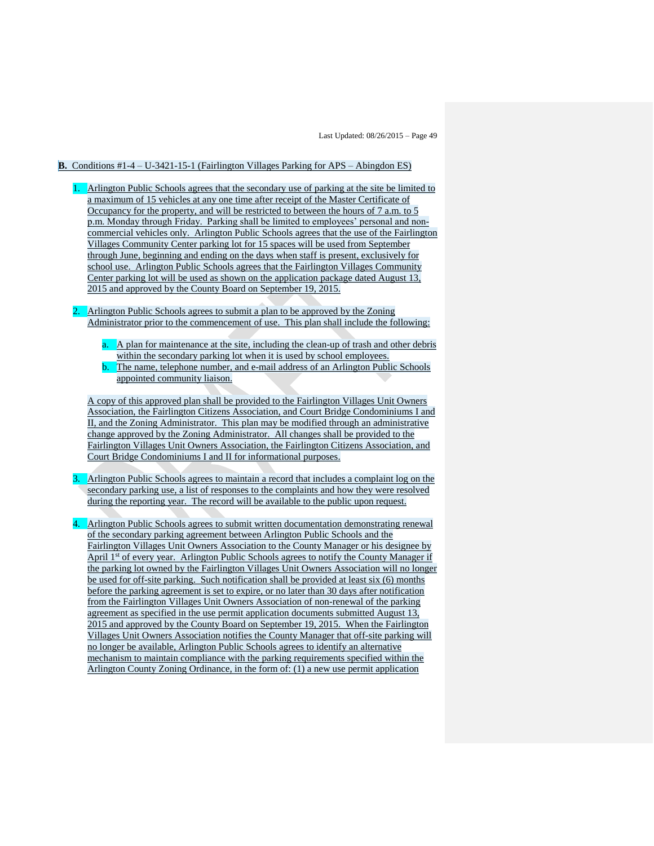#### **B.** Conditions #1-4 – U-3421-15-1 (Fairlington Villages Parking for APS – Abingdon ES)

- 1. Arlington Public Schools agrees that the secondary use of parking at the site be limited to a maximum of 15 vehicles at any one time after receipt of the Master Certificate of Occupancy for the property, and will be restricted to between the hours of 7 a.m. to 5 p.m. Monday through Friday. Parking shall be limited to employees' personal and noncommercial vehicles only. Arlington Public Schools agrees that the use of the Fairlington Villages Community Center parking lot for 15 spaces will be used from September through June, beginning and ending on the days when staff is present, exclusively for school use. Arlington Public Schools agrees that the Fairlington Villages Community Center parking lot will be used as shown on the application package dated August 13, 2015 and approved by the County Board on September 19, 2015.
- 2. Arlington Public Schools agrees to submit a plan to be approved by the Zoning Administrator prior to the commencement of use. This plan shall include the following:
	- a. A plan for maintenance at the site, including the clean-up of trash and other debris within the secondary parking lot when it is used by school employees. The name, telephone number, and e-mail address of an Arlington Public Schools appointed community liaison.

A copy of this approved plan shall be provided to the Fairlington Villages Unit Owners Association, the Fairlington Citizens Association, and Court Bridge Condominiums I and II, and the Zoning Administrator. This plan may be modified through an administrative change approved by the Zoning Administrator. All changes shall be provided to the Fairlington Villages Unit Owners Association, the Fairlington Citizens Association, and Court Bridge Condominiums I and II for informational purposes.

- 3. Arlington Public Schools agrees to maintain a record that includes a complaint log on the secondary parking use, a list of responses to the complaints and how they were resolved during the reporting year. The record will be available to the public upon request.
- 4. Arlington Public Schools agrees to submit written documentation demonstrating renewal of the secondary parking agreement between Arlington Public Schools and the Fairlington Villages Unit Owners Association to the County Manager or his designee by April 1<sup>st</sup> of every year. Arlington Public Schools agrees to notify the County Manager if the parking lot owned by the Fairlington Villages Unit Owners Association will no longer be used for off-site parking. Such notification shall be provided at least six (6) months before the parking agreement is set to expire, or no later than 30 days after notification from the Fairlington Villages Unit Owners Association of non-renewal of the parking agreement as specified in the use permit application documents submitted August 13, 2015 and approved by the County Board on September 19, 2015. When the Fairlington Villages Unit Owners Association notifies the County Manager that off-site parking will no longer be available, Arlington Public Schools agrees to identify an alternative mechanism to maintain compliance with the parking requirements specified within the Arlington County Zoning Ordinance, in the form of: (1) a new use permit application